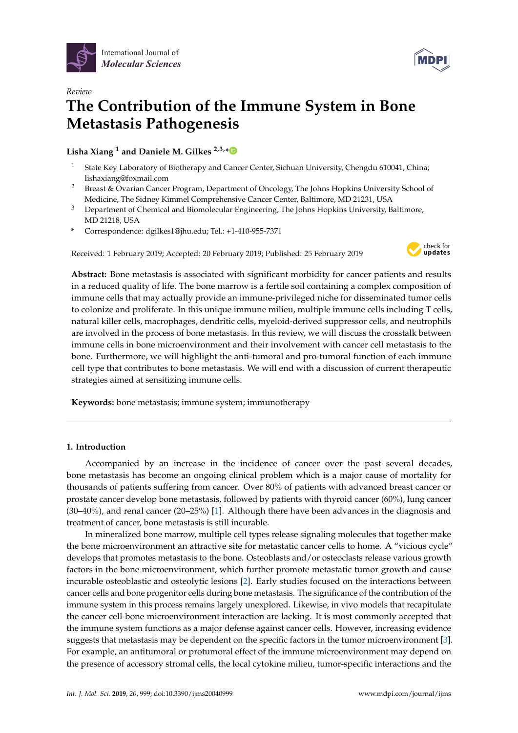

*Review*



# **The Contribution of the Immune System in Bone Metastasis Pathogenesis**

**Lisha Xiang <sup>1</sup> and Daniele M. Gilkes 2,3,[\\*](https://orcid.org/0000-0003-3984-9338)**

- <sup>1</sup> State Key Laboratory of Biotherapy and Cancer Center, Sichuan University, Chengdu 610041, China; lishaxiang@foxmail.com
- <sup>2</sup> Breast & Ovarian Cancer Program, Department of Oncology, The Johns Hopkins University School of Medicine, The Sidney Kimmel Comprehensive Cancer Center, Baltimore, MD 21231, USA
- <sup>3</sup> Department of Chemical and Biomolecular Engineering, The Johns Hopkins University, Baltimore, MD 21218, USA
- **\*** Correspondence: dgilkes1@jhu.edu; Tel.: +1-410-955-7371

Received: 1 February 2019; Accepted: 20 February 2019; Published: 25 February 2019



**Abstract:** Bone metastasis is associated with significant morbidity for cancer patients and results in a reduced quality of life. The bone marrow is a fertile soil containing a complex composition of immune cells that may actually provide an immune-privileged niche for disseminated tumor cells to colonize and proliferate. In this unique immune milieu, multiple immune cells including T cells, natural killer cells, macrophages, dendritic cells, myeloid-derived suppressor cells, and neutrophils are involved in the process of bone metastasis. In this review, we will discuss the crosstalk between immune cells in bone microenvironment and their involvement with cancer cell metastasis to the bone. Furthermore, we will highlight the anti-tumoral and pro-tumoral function of each immune cell type that contributes to bone metastasis. We will end with a discussion of current therapeutic strategies aimed at sensitizing immune cells.

**Keywords:** bone metastasis; immune system; immunotherapy

## **1. Introduction**

Accompanied by an increase in the incidence of cancer over the past several decades, bone metastasis has become an ongoing clinical problem which is a major cause of mortality for thousands of patients suffering from cancer. Over 80% of patients with advanced breast cancer or prostate cancer develop bone metastasis, followed by patients with thyroid cancer (60%), lung cancer (30–40%), and renal cancer (20–25%) [\[1\]](#page-11-0). Although there have been advances in the diagnosis and treatment of cancer, bone metastasis is still incurable.

In mineralized bone marrow, multiple cell types release signaling molecules that together make the bone microenvironment an attractive site for metastatic cancer cells to home. A "vicious cycle" develops that promotes metastasis to the bone. Osteoblasts and/or osteoclasts release various growth factors in the bone microenvironment, which further promote metastatic tumor growth and cause incurable osteoblastic and osteolytic lesions [\[2\]](#page-11-1). Early studies focused on the interactions between cancer cells and bone progenitor cells during bone metastasis. The significance of the contribution of the immune system in this process remains largely unexplored. Likewise, in vivo models that recapitulate the cancer cell-bone microenvironment interaction are lacking. It is most commonly accepted that the immune system functions as a major defense against cancer cells. However, increasing evidence suggests that metastasis may be dependent on the specific factors in the tumor microenvironment [\[3\]](#page-11-2). For example, an antitumoral or protumoral effect of the immune microenvironment may depend on the presence of accessory stromal cells, the local cytokine milieu, tumor-specific interactions and the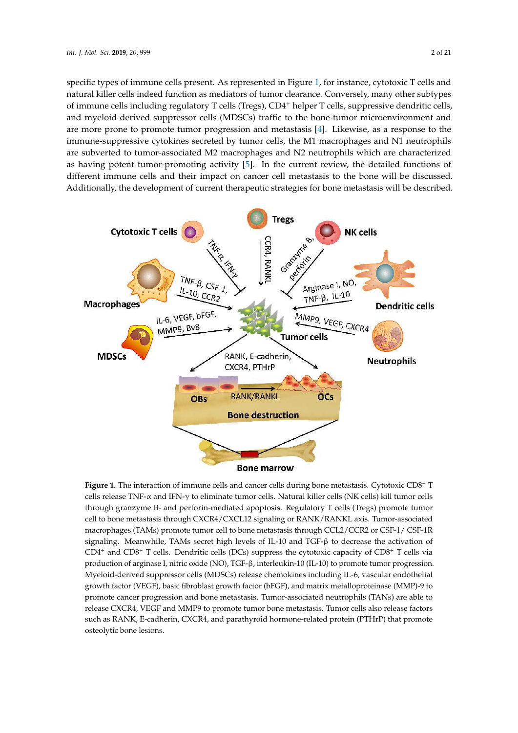specific types of immune cells present. As represented in Figure [1,](#page-1-0) for instance, cytotoxic T cells and natural killer cells indeed function as mediators of tumor clearance. Conversely, many other subtypes of immune cells including regulatory T cells (Tregs), CD4<sup>+</sup> helper T cells, suppressive dendritic cells, and myeloid-derived suppressor cells (MDSCs) traffic to the bone-tumor microenvironment and are more prone to promote tumor progression and metastasis [\[4\]](#page-11-3). Likewise, as a response to the immune-suppressive cytokines secreted by tumor cells, the M1 macrophages and N1 neutrophils are subverted to tumor-associated M2 macrophages and N2 neutrophils which are characterized as having potent tumor-promoting activity [\[5\]](#page-11-4). In the current review, the detailed functions of different immune cells and their impact on cancer cell metastasis to the bone will be discussed. Additionally, the development of current therapeutic strategies for bone metastasis will be described. metastasis will be described. traffic to the bone-tumor microenvironment and are more proposition and are more proposition and are more proposition and are more proposition and are more proposition and are more proposition and and are more proposition

<span id="page-1-0"></span>

cells release TNF-α and IFN-γ to eliminate tumor cells. Natural killer cells (NK cells) kill tumor cells through granzyme B- and perforin-mediated apoptosis. Regulatory T cells (Tregs) promote tumor through granzyme B- and perforin-mediated apoptosis. Regulatory T cells (Tregs) promote tumor cell to bone metastasis through CXCR4/CXCL12 signaling or RANK/RANKL axis. Tumor-associated cell to bone metastasis through CXCR4/CXCL12 signaling or RANK/RANKL axis. Tumor-associated macrophages (TAMs) promote tumor cell to bone metastasis through CCL2/CCR2 or CSF-1/ CSF-1R macrophages (TAMs) promote tumor cell to bone metastasis through CCL2/CCR2 or CSF-1/ CSF-1R signaling. Meanwhile, TAMs secret high levels of IL-10 and TGF-β to decrease the activation of CD4<sup>+</sup> and CD8<sup>+</sup> T cells. Dendritic cells (DCs) suppress the cytotoxic capacity of CD8<sup>+</sup> T cells via production of arginase I, nitric oxide (NO), TGF-β, interleukin-10 (IL-10) to promote tumor progression. Myeloid-derived suppressor cells (MDSCs) release chemokines including IL-6, vascular endothelial growth factor (VEGF), basic fibroblast growth factor (bFGF), and matrix metalloproteinase (MMP)-9 to promote cancer progression and bone metastasis. Tumor-associated neutrophils (TANs) are able to promote cancer progression and bone metastasis. Tumor-associated neutrophils (TANs) are able to release CXCR4, VEGF and MMP9 to promote tumor bone metastasis. Tumor cells also release factors release CXCR4, VEGF and MMP9 to promote tumor bone metastasis. Tumor cells also release factors such as RANK, E-cadherin, CXCR4, and parathyroid hormone-related protein (PTHrP) that promote such as RANK, E-cadherin, CXCR4, and parathyroid hormone-related protein (PTHrP) that promote osteolytic bone lesions. osteolytic bone lesions.**Figure 1.** The interaction of immune cells and cancer cells during bone metastasis. Cytotoxic CD8<sup>+</sup> T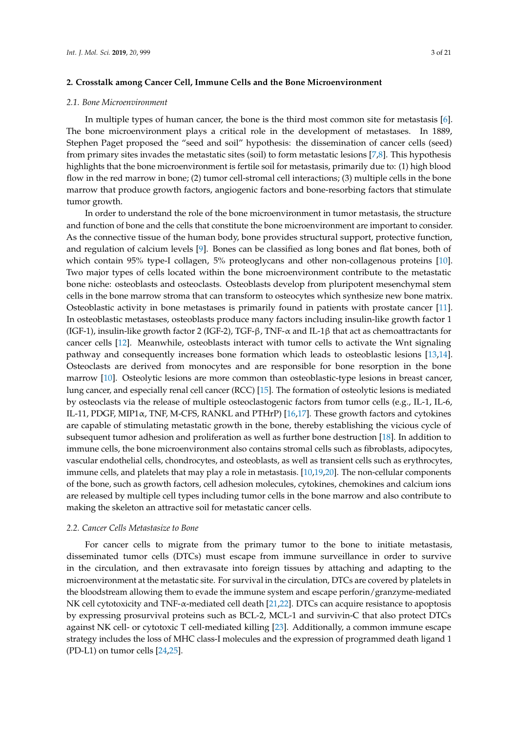## **2. Crosstalk among Cancer Cell, Immune Cells and the Bone Microenvironment**

#### *2.1. Bone Microenvironment*

In multiple types of human cancer, the bone is the third most common site for metastasis [\[6\]](#page-11-5). The bone microenvironment plays a critical role in the development of metastases. In 1889, Stephen Paget proposed the "seed and soil" hypothesis: the dissemination of cancer cells (seed) from primary sites invades the metastatic sites (soil) to form metastatic lesions [\[7,](#page-11-6)[8\]](#page-11-7). This hypothesis highlights that the bone microenvironment is fertile soil for metastasis, primarily due to: (1) high blood flow in the red marrow in bone; (2) tumor cell-stromal cell interactions; (3) multiple cells in the bone marrow that produce growth factors, angiogenic factors and bone-resorbing factors that stimulate tumor growth.

In order to understand the role of the bone microenvironment in tumor metastasis, the structure and function of bone and the cells that constitute the bone microenvironment are important to consider. As the connective tissue of the human body, bone provides structural support, protective function, and regulation of calcium levels [\[9\]](#page-11-8). Bones can be classified as long bones and flat bones, both of which contain 95% type-I collagen, 5% proteoglycans and other non-collagenous proteins [\[10\]](#page-11-9). Two major types of cells located within the bone microenvironment contribute to the metastatic bone niche: osteoblasts and osteoclasts. Osteoblasts develop from pluripotent mesenchymal stem cells in the bone marrow stroma that can transform to osteocytes which synthesize new bone matrix. Osteoblastic activity in bone metastases is primarily found in patients with prostate cancer [\[11\]](#page-11-10). In osteoblastic metastases, osteoblasts produce many factors including insulin-like growth factor 1 (IGF-1), insulin-like growth factor 2 (IGF-2), TGF-β, TNF-α and IL-1β that act as chemoattractants for cancer cells [\[12\]](#page-11-11). Meanwhile, osteoblasts interact with tumor cells to activate the Wnt signaling pathway and consequently increases bone formation which leads to osteoblastic lesions [\[13,](#page-11-12)[14\]](#page-11-13). Osteoclasts are derived from monocytes and are responsible for bone resorption in the bone marrow [\[10\]](#page-11-9). Osteolytic lesions are more common than osteoblastic-type lesions in breast cancer, lung cancer, and especially renal cell cancer (RCC) [\[15\]](#page-11-14). The formation of osteolytic lesions is mediated by osteoclasts via the release of multiple osteoclastogenic factors from tumor cells (e.g., IL-1, IL-6, IL-11, PDGF, MIP1 $\alpha$ , TNF, M-CFS, RANKL and PTHrP) [\[16,](#page-11-15)[17\]](#page-11-16). These growth factors and cytokines are capable of stimulating metastatic growth in the bone, thereby establishing the vicious cycle of subsequent tumor adhesion and proliferation as well as further bone destruction [\[18\]](#page-11-17). In addition to immune cells, the bone microenvironment also contains stromal cells such as fibroblasts, adipocytes, vascular endothelial cells, chondrocytes, and osteoblasts, as well as transient cells such as erythrocytes, immune cells, and platelets that may play a role in metastasis. [\[10](#page-11-9)[,19](#page-11-18)[,20\]](#page-12-0). The non-cellular components of the bone, such as growth factors, cell adhesion molecules, cytokines, chemokines and calcium ions are released by multiple cell types including tumor cells in the bone marrow and also contribute to making the skeleton an attractive soil for metastatic cancer cells.

## *2.2. Cancer Cells Metastasize to Bone*

For cancer cells to migrate from the primary tumor to the bone to initiate metastasis, disseminated tumor cells (DTCs) must escape from immune surveillance in order to survive in the circulation, and then extravasate into foreign tissues by attaching and adapting to the microenvironment at the metastatic site. For survival in the circulation, DTCs are covered by platelets in the bloodstream allowing them to evade the immune system and escape perforin/granzyme-mediated NK cell cytotoxicity and TNF-α-mediated cell death [\[21,](#page-12-1)[22\]](#page-12-2). DTCs can acquire resistance to apoptosis by expressing prosurvival proteins such as BCL-2, MCL-1 and survivin-C that also protect DTCs against NK cell- or cytotoxic T cell-mediated killing [\[23\]](#page-12-3). Additionally, a common immune escape strategy includes the loss of MHC class-I molecules and the expression of programmed death ligand 1 (PD-L1) on tumor cells [\[24,](#page-12-4)[25\]](#page-12-5).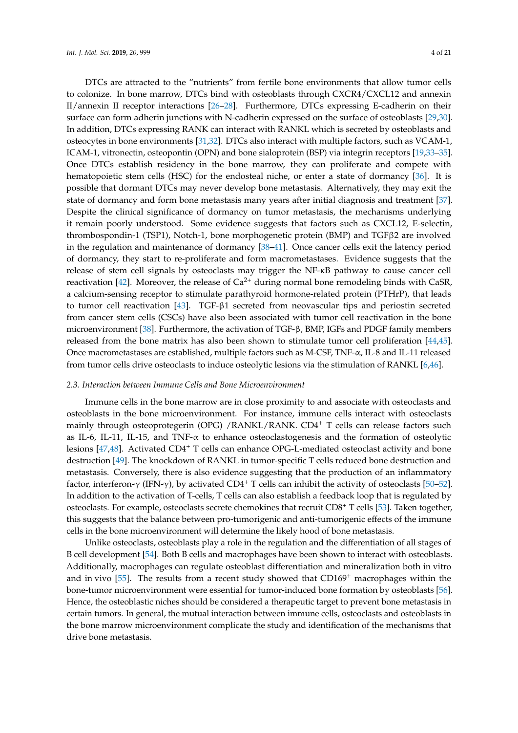DTCs are attracted to the "nutrients" from fertile bone environments that allow tumor cells to colonize. In bone marrow, DTCs bind with osteoblasts through CXCR4/CXCL12 and annexin II/annexin II receptor interactions [\[26–](#page-12-6)[28\]](#page-12-7). Furthermore, DTCs expressing E-cadherin on their surface can form adherin junctions with N-cadherin expressed on the surface of osteoblasts [\[29,](#page-12-8)[30\]](#page-12-9). In addition, DTCs expressing RANK can interact with RANKL which is secreted by osteoblasts and osteocytes in bone environments [\[31,](#page-12-10)[32\]](#page-12-11). DTCs also interact with multiple factors, such as VCAM-1, ICAM-1, vitronectin, osteopontin (OPN) and bone sialoprotein (BSP) via integrin receptors [\[19](#page-11-18)[,33–](#page-12-12)[35\]](#page-12-13). Once DTCs establish residency in the bone marrow, they can proliferate and compete with hematopoietic stem cells (HSC) for the endosteal niche, or enter a state of dormancy [\[36\]](#page-12-14). It is possible that dormant DTCs may never develop bone metastasis. Alternatively, they may exit the state of dormancy and form bone metastasis many years after initial diagnosis and treatment [\[37\]](#page-12-15). Despite the clinical significance of dormancy on tumor metastasis, the mechanisms underlying it remain poorly understood. Some evidence suggests that factors such as CXCL12, E-selectin, thrombospondin-1 (TSP1), Notch-1, bone morphogenetic protein (BMP) and TGFβ2 are involved in the regulation and maintenance of dormancy [\[38](#page-12-16)[–41\]](#page-13-0). Once cancer cells exit the latency period of dormancy, they start to re-proliferate and form macrometastases. Evidence suggests that the release of stem cell signals by osteoclasts may trigger the NF-κB pathway to cause cancer cell reactivation [\[42\]](#page-13-1). Moreover, the release of  $Ca^{2+}$  during normal bone remodeling binds with CaSR, a calcium-sensing receptor to stimulate parathyroid hormone-related protein (PTHrP), that leads to tumor cell reactivation [\[43\]](#page-13-2). TGF-β1 secreted from neovascular tips and periostin secreted from cancer stem cells (CSCs) have also been associated with tumor cell reactivation in the bone microenvironment [\[38\]](#page-12-16). Furthermore, the activation of TGF-β, BMP, IGFs and PDGF family members released from the bone matrix has also been shown to stimulate tumor cell proliferation [\[44,](#page-13-3)[45\]](#page-13-4). Once macrometastases are established, multiple factors such as M-CSF, TNF-α, IL-8 and IL-11 released from tumor cells drive osteoclasts to induce osteolytic lesions via the stimulation of RANKL [\[6,](#page-11-5)[46\]](#page-13-5).

#### *2.3. Interaction between Immune Cells and Bone Microenvironment*

Immune cells in the bone marrow are in close proximity to and associate with osteoclasts and osteoblasts in the bone microenvironment. For instance, immune cells interact with osteoclasts mainly through osteoprotegerin (OPG) /RANKL/RANK. CD4<sup>+</sup> T cells can release factors such as IL-6, IL-11, IL-15, and TNF-α to enhance osteoclastogenesis and the formation of osteolytic lesions [\[47](#page-13-6)[,48\]](#page-13-7). Activated CD4<sup>+</sup> T cells can enhance OPG-L-mediated osteoclast activity and bone destruction [\[49\]](#page-13-8). The knockdown of RANKL in tumor-specific T cells reduced bone destruction and metastasis. Conversely, there is also evidence suggesting that the production of an inflammatory factor, interferon-γ (IFN-γ), by activated CD4<sup>+</sup> T cells can inhibit the activity of osteoclasts [\[50–](#page-13-9)[52\]](#page-13-10). In addition to the activation of T-cells, T cells can also establish a feedback loop that is regulated by osteoclasts. For example, osteoclasts secrete chemokines that recruit CD8<sup>+</sup> T cells [\[53\]](#page-13-11). Taken together, this suggests that the balance between pro-tumorigenic and anti-tumorigenic effects of the immune cells in the bone microenvironment will determine the likely hood of bone metastasis.

Unlike osteoclasts, osteoblasts play a role in the regulation and the differentiation of all stages of B cell development [\[54\]](#page-13-12). Both B cells and macrophages have been shown to interact with osteoblasts. Additionally, macrophages can regulate osteoblast differentiation and mineralization both in vitro and in vivo [\[55\]](#page-13-13). The results from a recent study showed that  $CD169<sup>+</sup>$  macrophages within the bone-tumor microenvironment were essential for tumor-induced bone formation by osteoblasts [\[56\]](#page-13-14). Hence, the osteoblastic niches should be considered a therapeutic target to prevent bone metastasis in certain tumors. In general, the mutual interaction between immune cells, osteoclasts and osteoblasts in the bone marrow microenvironment complicate the study and identification of the mechanisms that drive bone metastasis.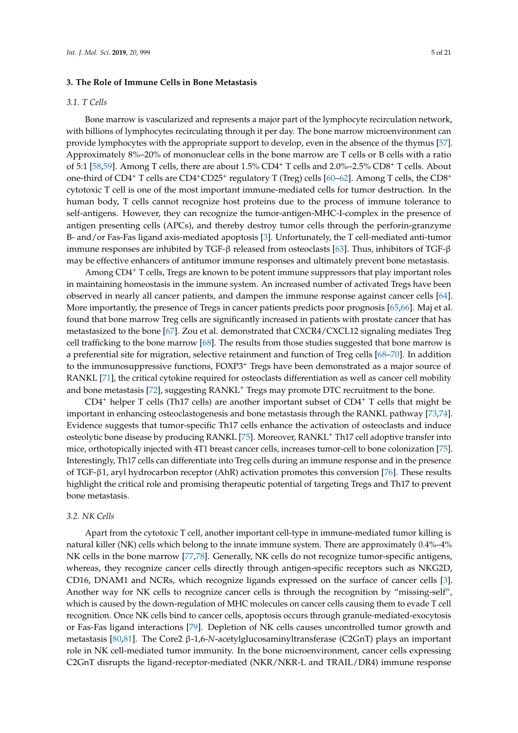## **3. The Role of Immune Cells in Bone Metastasis**

#### *3.1. T Cells*

Bone marrow is vascularized and represents a major part of the lymphocyte recirculation network, with billions of lymphocytes recirculating through it per day. The bone marrow microenvironment can provide lymphocytes with the appropriate support to develop, even in the absence of the thymus [\[57\]](#page-13-15). Approximately 8%–20% of mononuclear cells in the bone marrow are T cells or B cells with a ratio of 5:1 [\[58](#page-14-0)[,59\]](#page-14-1). Among T cells, there are about 1.5% CD4<sup>+</sup> T cells and 2.0%–2.5% CD8<sup>+</sup> T cells. About one-third of CD4<sup>+</sup> T cells are CD4<sup>+</sup>CD25<sup>+</sup> regulatory T (Treg) cells [\[60](#page-14-2)[–62\]](#page-14-3). Among T cells, the CD8<sup>+</sup> cytotoxic T cell is one of the most important immune-mediated cells for tumor destruction. In the human body, T cells cannot recognize host proteins due to the process of immune tolerance to self-antigens. However, they can recognize the tumor-antigen-MHC-I-complex in the presence of antigen presenting cells (APCs), and thereby destroy tumor cells through the perforin-granzyme B- and/or Fas-Fas ligand axis-mediated apoptosis [\[3\]](#page-11-2). Unfortunately, the T cell-mediated anti-tumor immune responses are inhibited by TGF-β released from osteoclasts [\[63\]](#page-14-4). Thus, inhibitors of TGF-β may be effective enhancers of antitumor immune responses and ultimately prevent bone metastasis.

Among CD4<sup>+</sup> T cells, Tregs are known to be potent immune suppressors that play important roles in maintaining homeostasis in the immune system. An increased number of activated Tregs have been observed in nearly all cancer patients, and dampen the immune response against cancer cells [\[64\]](#page-14-5). More importantly, the presence of Tregs in cancer patients predicts poor prognosis [\[65](#page-14-6)[,66\]](#page-14-7). Maj et al. found that bone marrow Treg cells are significantly increased in patients with prostate cancer that has metastasized to the bone [\[67\]](#page-14-8). Zou et al. demonstrated that CXCR4/CXCL12 signaling mediates Treg cell trafficking to the bone marrow [\[68\]](#page-14-9). The results from those studies suggested that bone marrow is a preferential site for migration, selective retainment and function of Treg cells [\[68](#page-14-9)[–70\]](#page-14-10). In addition to the immunosuppressive functions, FOXP3<sup>+</sup> Tregs have been demonstrated as a major source of RANKL [\[71\]](#page-14-11), the critical cytokine required for osteoclasts differentiation as well as cancer cell mobility and bone metastasis [\[72\]](#page-14-12), suggesting RANKL<sup>+</sup> Tregs may promote DTC recruitment to the bone.

 $CD4^+$  helper T cells (Th17 cells) are another important subset of  $CD4^+$  T cells that might be important in enhancing osteoclastogenesis and bone metastasis through the RANKL pathway [\[73,](#page-14-13)[74\]](#page-14-14). Evidence suggests that tumor-specific Th17 cells enhance the activation of osteoclasts and induce osteolytic bone disease by producing RANKL [\[75\]](#page-14-15). Moreover, RANKL<sup>+</sup> Th17 cell adoptive transfer into mice, orthotopically injected with 4T1 breast cancer cells, increases tumor-cell to bone colonization [\[75\]](#page-14-15). Interestingly, Th17 cells can differentiate into Treg cells during an immune response and in the presence of TGF-β1, aryl hydrocarbon receptor (AhR) activation promotes this conversion [\[76\]](#page-14-16). These results highlight the critical role and promising therapeutic potential of targeting Tregs and Th17 to prevent bone metastasis.

## *3.2. NK Cells*

Apart from the cytotoxic T cell, another important cell-type in immune-mediated tumor killing is natural killer (NK) cells which belong to the innate immune system. There are approximately 0.4%–4% NK cells in the bone marrow [\[77,](#page-14-17)[78\]](#page-15-0). Generally, NK cells do not recognize tumor-specific antigens, whereas, they recognize cancer cells directly through antigen-specific receptors such as NKG2D, CD16, DNAM1 and NCRs, which recognize ligands expressed on the surface of cancer cells [\[3\]](#page-11-2). Another way for NK cells to recognize cancer cells is through the recognition by "missing-self", which is caused by the down-regulation of MHC molecules on cancer cells causing them to evade T cell recognition. Once NK cells bind to cancer cells, apoptosis occurs through granule-mediated-exocytosis or Fas-Fas ligand interactions [\[79\]](#page-15-1). Depletion of NK cells causes uncontrolled tumor growth and metastasis [\[80,](#page-15-2)[81\]](#page-15-3). The Core2 β-1,6-*N*-acetylglucosaminyltransferase (C2GnT) plays an important role in NK cell-mediated tumor immunity. In the bone microenvironment, cancer cells expressing C2GnT disrupts the ligand-receptor-mediated (NKR/NKR-L and TRAIL/DR4) immune response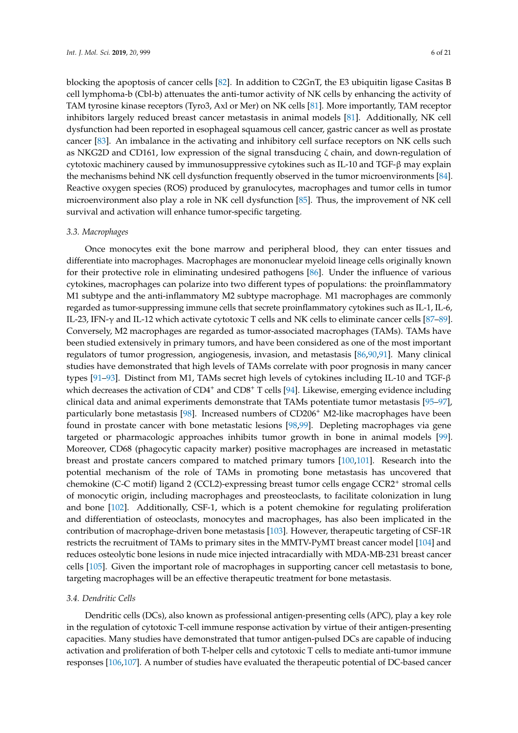blocking the apoptosis of cancer cells [\[82\]](#page-15-4). In addition to C2GnT, the E3 ubiquitin ligase Casitas B cell lymphoma-b (Cbl-b) attenuates the anti-tumor activity of NK cells by enhancing the activity of TAM tyrosine kinase receptors (Tyro3, Axl or Mer) on NK cells [\[81\]](#page-15-3). More importantly, TAM receptor inhibitors largely reduced breast cancer metastasis in animal models [\[81\]](#page-15-3). Additionally, NK cell dysfunction had been reported in esophageal squamous cell cancer, gastric cancer as well as prostate cancer [\[83\]](#page-15-5). An imbalance in the activating and inhibitory cell surface receptors on NK cells such as NKG2D and CD161, low expression of the signal transducing ζ chain, and down-regulation of cytotoxic machinery caused by immunosuppressive cytokines such as IL-10 and TGF-β may explain the mechanisms behind NK cell dysfunction frequently observed in the tumor microenvironments [\[84\]](#page-15-6). Reactive oxygen species (ROS) produced by granulocytes, macrophages and tumor cells in tumor microenvironment also play a role in NK cell dysfunction [\[85\]](#page-15-7). Thus, the improvement of NK cell survival and activation will enhance tumor-specific targeting.

## *3.3. Macrophages*

Once monocytes exit the bone marrow and peripheral blood, they can enter tissues and differentiate into macrophages. Macrophages are mononuclear myeloid lineage cells originally known for their protective role in eliminating undesired pathogens [\[86\]](#page-15-8). Under the influence of various cytokines, macrophages can polarize into two different types of populations: the proinflammatory M1 subtype and the anti-inflammatory M2 subtype macrophage. M1 macrophages are commonly regarded as tumor-suppressing immune cells that secrete proinflammatory cytokines such as IL-1, IL-6, IL-23, IFN- $\gamma$  and IL-12 which activate cytotoxic T cells and NK cells to eliminate cancer cells [\[87–](#page-15-9)[89\]](#page-15-10). Conversely, M2 macrophages are regarded as tumor-associated macrophages (TAMs). TAMs have been studied extensively in primary tumors, and have been considered as one of the most important regulators of tumor progression, angiogenesis, invasion, and metastasis [\[86,](#page-15-8)[90,](#page-15-11)[91\]](#page-15-12). Many clinical studies have demonstrated that high levels of TAMs correlate with poor prognosis in many cancer types [\[91](#page-15-12)[–93\]](#page-15-13). Distinct from M1, TAMs secret high levels of cytokines including IL-10 and TGF-β which decreases the activation of  $CD4^+$  and  $CD8^+$  T cells [\[94\]](#page-15-14). Likewise, emerging evidence including clinical data and animal experiments demonstrate that TAMs potentiate tumor metastasis [\[95](#page-15-15)[–97\]](#page-15-16), particularly bone metastasis [\[98\]](#page-16-0). Increased numbers of CD206<sup>+</sup> M2-like macrophages have been found in prostate cancer with bone metastatic lesions [\[98](#page-16-0)[,99\]](#page-16-1). Depleting macrophages via gene targeted or pharmacologic approaches inhibits tumor growth in bone in animal models [\[99\]](#page-16-1). Moreover, CD68 (phagocytic capacity marker) positive macrophages are increased in metastatic breast and prostate cancers compared to matched primary tumors [\[100](#page-16-2)[,101\]](#page-16-3). Research into the potential mechanism of the role of TAMs in promoting bone metastasis has uncovered that chemokine (C-C motif) ligand 2 (CCL2)-expressing breast tumor cells engage CCR2<sup>+</sup> stromal cells of monocytic origin, including macrophages and preosteoclasts, to facilitate colonization in lung and bone [\[102\]](#page-16-4). Additionally, CSF-1, which is a potent chemokine for regulating proliferation and differentiation of osteoclasts, monocytes and macrophages, has also been implicated in the contribution of macrophage-driven bone metastasis [\[103\]](#page-16-5). However, therapeutic targeting of CSF-1R restricts the recruitment of TAMs to primary sites in the MMTV-PyMT breast cancer model [\[104\]](#page-16-6) and reduces osteolytic bone lesions in nude mice injected intracardially with MDA-MB-231 breast cancer cells [\[105\]](#page-16-7). Given the important role of macrophages in supporting cancer cell metastasis to bone, targeting macrophages will be an effective therapeutic treatment for bone metastasis.

## *3.4. Dendritic Cells*

Dendritic cells (DCs), also known as professional antigen-presenting cells (APC), play a key role in the regulation of cytotoxic T-cell immune response activation by virtue of their antigen-presenting capacities. Many studies have demonstrated that tumor antigen-pulsed DCs are capable of inducing activation and proliferation of both T-helper cells and cytotoxic T cells to mediate anti-tumor immune responses [\[106,](#page-16-8)[107\]](#page-16-9). A number of studies have evaluated the therapeutic potential of DC-based cancer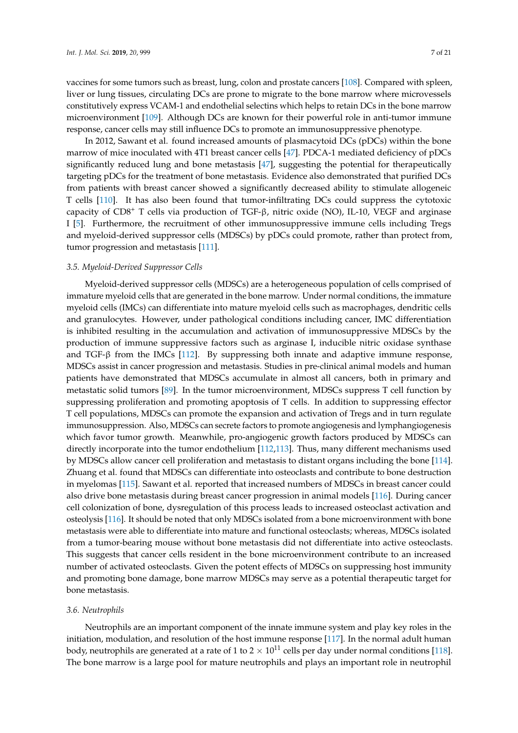vaccines for some tumors such as breast, lung, colon and prostate cancers [\[108\]](#page-16-10). Compared with spleen, liver or lung tissues, circulating DCs are prone to migrate to the bone marrow where microvessels constitutively express VCAM-1 and endothelial selectins which helps to retain DCs in the bone marrow microenvironment [\[109\]](#page-16-11). Although DCs are known for their powerful role in anti-tumor immune response, cancer cells may still influence DCs to promote an immunosuppressive phenotype.

In 2012, Sawant et al. found increased amounts of plasmacytoid DCs (pDCs) within the bone marrow of mice inoculated with 4T1 breast cancer cells [\[47\]](#page-13-6). PDCA-1 mediated deficiency of pDCs significantly reduced lung and bone metastasis [\[47\]](#page-13-6), suggesting the potential for therapeutically targeting pDCs for the treatment of bone metastasis. Evidence also demonstrated that purified DCs from patients with breast cancer showed a significantly decreased ability to stimulate allogeneic T cells [\[110\]](#page-16-12). It has also been found that tumor-infiltrating DCs could suppress the cytotoxic capacity of  $CD8^+$  T cells via production of TGF-β, nitric oxide (NO), IL-10, VEGF and arginase I [\[5\]](#page-11-4). Furthermore, the recruitment of other immunosuppressive immune cells including Tregs and myeloid-derived suppressor cells (MDSCs) by pDCs could promote, rather than protect from, tumor progression and metastasis [\[111\]](#page-16-13).

#### *3.5. Myeloid-Derived Suppressor Cells*

Myeloid-derived suppressor cells (MDSCs) are a heterogeneous population of cells comprised of immature myeloid cells that are generated in the bone marrow. Under normal conditions, the immature myeloid cells (IMCs) can differentiate into mature myeloid cells such as macrophages, dendritic cells and granulocytes. However, under pathological conditions including cancer, IMC differentiation is inhibited resulting in the accumulation and activation of immunosuppressive MDSCs by the production of immune suppressive factors such as arginase I, inducible nitric oxidase synthase and TGF-β from the IMCs [\[112\]](#page-16-14). By suppressing both innate and adaptive immune response, MDSCs assist in cancer progression and metastasis. Studies in pre-clinical animal models and human patients have demonstrated that MDSCs accumulate in almost all cancers, both in primary and metastatic solid tumors [\[89\]](#page-15-10). In the tumor microenvironment, MDSCs suppress T cell function by suppressing proliferation and promoting apoptosis of T cells. In addition to suppressing effector T cell populations, MDSCs can promote the expansion and activation of Tregs and in turn regulate immunosuppression. Also, MDSCs can secrete factors to promote angiogenesis and lymphangiogenesis which favor tumor growth. Meanwhile, pro-angiogenic growth factors produced by MDSCs can directly incorporate into the tumor endothelium [\[112](#page-16-14)[,113\]](#page-16-15). Thus, many different mechanisms used by MDSCs allow cancer cell proliferation and metastasis to distant organs including the bone [\[114\]](#page-16-16). Zhuang et al. found that MDSCs can differentiate into osteoclasts and contribute to bone destruction in myelomas [\[115\]](#page-16-17). Sawant et al. reported that increased numbers of MDSCs in breast cancer could also drive bone metastasis during breast cancer progression in animal models [\[116\]](#page-16-18). During cancer cell colonization of bone, dysregulation of this process leads to increased osteoclast activation and osteolysis [\[116\]](#page-16-18). It should be noted that only MDSCs isolated from a bone microenvironment with bone metastasis were able to differentiate into mature and functional osteoclasts; whereas, MDSCs isolated from a tumor-bearing mouse without bone metastasis did not differentiate into active osteoclasts. This suggests that cancer cells resident in the bone microenvironment contribute to an increased number of activated osteoclasts. Given the potent effects of MDSCs on suppressing host immunity and promoting bone damage, bone marrow MDSCs may serve as a potential therapeutic target for bone metastasis.

#### *3.6. Neutrophils*

Neutrophils are an important component of the innate immune system and play key roles in the initiation, modulation, and resolution of the host immune response [\[117\]](#page-16-19). In the normal adult human body, neutrophils are generated at a rate of 1 to  $2 \times 10^{11}$  cells per day under normal conditions [\[118\]](#page-16-20). The bone marrow is a large pool for mature neutrophils and plays an important role in neutrophil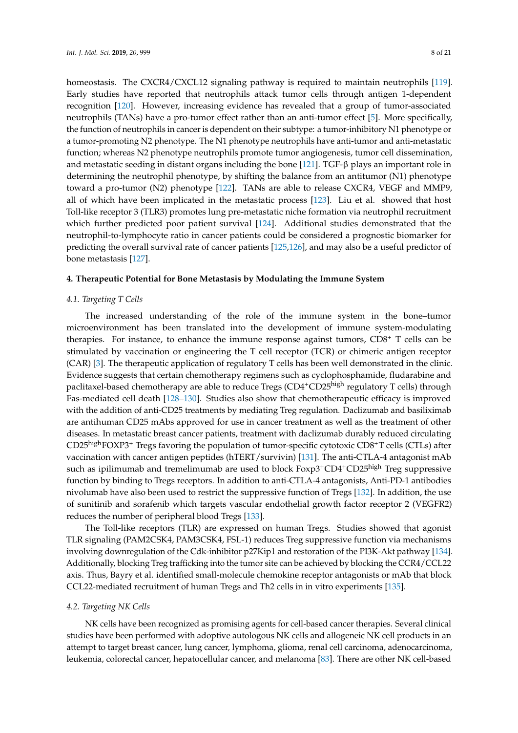homeostasis. The CXCR4/CXCL12 signaling pathway is required to maintain neutrophils [\[119\]](#page-17-0). Early studies have reported that neutrophils attack tumor cells through antigen 1-dependent recognition [\[120\]](#page-17-1). However, increasing evidence has revealed that a group of tumor-associated neutrophils (TANs) have a pro-tumor effect rather than an anti-tumor effect [\[5\]](#page-11-4). More specifically, the function of neutrophils in cancer is dependent on their subtype: a tumor-inhibitory N1 phenotype or a tumor-promoting N2 phenotype. The N1 phenotype neutrophils have anti-tumor and anti-metastatic function; whereas N2 phenotype neutrophils promote tumor angiogenesis, tumor cell dissemination, and metastatic seeding in distant organs including the bone [\[121\]](#page-17-2). TGF-β plays an important role in determining the neutrophil phenotype, by shifting the balance from an antitumor (N1) phenotype toward a pro-tumor (N2) phenotype [\[122\]](#page-17-3). TANs are able to release CXCR4, VEGF and MMP9, all of which have been implicated in the metastatic process [\[123\]](#page-17-4). Liu et al. showed that host Toll-like receptor 3 (TLR3) promotes lung pre-metastatic niche formation via neutrophil recruitment which further predicted poor patient survival [\[124\]](#page-17-5). Additional studies demonstrated that the neutrophil-to-lymphocyte ratio in cancer patients could be considered a prognostic biomarker for predicting the overall survival rate of cancer patients [\[125](#page-17-6)[,126\]](#page-17-7), and may also be a useful predictor of bone metastasis [\[127\]](#page-17-8).

## **4. Therapeutic Potential for Bone Metastasis by Modulating the Immune System**

## *4.1. Targeting T Cells*

The increased understanding of the role of the immune system in the bone–tumor microenvironment has been translated into the development of immune system-modulating therapies. For instance, to enhance the immune response against tumors,  $CD8<sup>+</sup>$  T cells can be stimulated by vaccination or engineering the T cell receptor (TCR) or chimeric antigen receptor (CAR) [\[3\]](#page-11-2). The therapeutic application of regulatory T cells has been well demonstrated in the clinic. Evidence suggests that certain chemotherapy regimens such as cyclophosphamide, fludarabine and paclitaxel-based chemotherapy are able to reduce Tregs (CD4+CD25high regulatory T cells) through Fas-mediated cell death [\[128](#page-17-9)[–130\]](#page-17-10). Studies also show that chemotherapeutic efficacy is improved with the addition of anti-CD25 treatments by mediating Treg regulation. Daclizumab and basiliximab are antihuman CD25 mAbs approved for use in cancer treatment as well as the treatment of other diseases. In metastatic breast cancer patients, treatment with daclizumab durably reduced circulating  $CD25<sup>high</sup>FOXP3<sup>+</sup> Tregs favoring the population of tumor-specific cytotoxic  $CD8<sup>+</sup>T$  cells (CTLs) after$ vaccination with cancer antigen peptides (hTERT/survivin) [\[131\]](#page-17-11). The anti-CTLA-4 antagonist mAb such as ipilimumab and tremelimumab are used to block Foxp3<sup>+</sup>CD4<sup>+</sup>CD25<sup>high</sup> Treg suppressive function by binding to Tregs receptors. In addition to anti-CTLA-4 antagonists, Anti-PD-1 antibodies nivolumab have also been used to restrict the suppressive function of Tregs [\[132\]](#page-17-12). In addition, the use of sunitinib and sorafenib which targets vascular endothelial growth factor receptor 2 (VEGFR2) reduces the number of peripheral blood Tregs [\[133\]](#page-17-13).

The Toll-like receptors (TLR) are expressed on human Tregs. Studies showed that agonist TLR signaling (PAM2CSK4, PAM3CSK4, FSL-1) reduces Treg suppressive function via mechanisms involving downregulation of the Cdk-inhibitor p27Kip1 and restoration of the PI3K-Akt pathway [\[134\]](#page-17-14). Additionally, blocking Treg trafficking into the tumor site can be achieved by blocking the CCR4/CCL22 axis. Thus, Bayry et al. identified small-molecule chemokine receptor antagonists or mAb that block CCL22-mediated recruitment of human Tregs and Th2 cells in in vitro experiments [\[135\]](#page-17-15).

#### *4.2. Targeting NK Cells*

NK cells have been recognized as promising agents for cell-based cancer therapies. Several clinical studies have been performed with adoptive autologous NK cells and allogeneic NK cell products in an attempt to target breast cancer, lung cancer, lymphoma, glioma, renal cell carcinoma, adenocarcinoma, leukemia, colorectal cancer, hepatocellular cancer, and melanoma [\[83\]](#page-15-5). There are other NK cell-based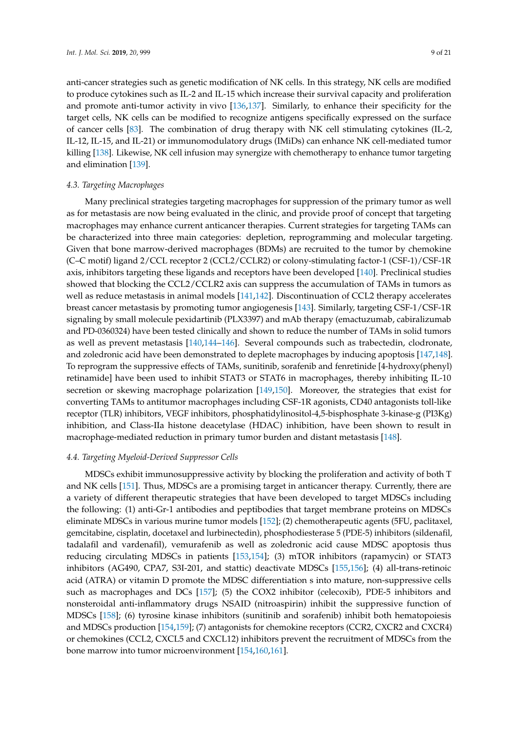anti-cancer strategies such as genetic modification of NK cells. In this strategy, NK cells are modified to produce cytokines such as IL-2 and IL-15 which increase their survival capacity and proliferation and promote anti-tumor activity in vivo [\[136,](#page-17-16)[137\]](#page-18-0). Similarly, to enhance their specificity for the target cells, NK cells can be modified to recognize antigens specifically expressed on the surface of cancer cells [\[83\]](#page-15-5). The combination of drug therapy with NK cell stimulating cytokines (IL-2, IL-12, IL-15, and IL-21) or immunomodulatory drugs (IMiDs) can enhance NK cell-mediated tumor killing [\[138\]](#page-18-1). Likewise, NK cell infusion may synergize with chemotherapy to enhance tumor targeting and elimination [\[139\]](#page-18-2).

## *4.3. Targeting Macrophages*

Many preclinical strategies targeting macrophages for suppression of the primary tumor as well as for metastasis are now being evaluated in the clinic, and provide proof of concept that targeting macrophages may enhance current anticancer therapies. Current strategies for targeting TAMs can be characterized into three main categories: depletion, reprogramming and molecular targeting. Given that bone marrow-derived macrophages (BDMs) are recruited to the tumor by chemokine (C–C motif) ligand 2/CCL receptor 2 (CCL2/CCLR2) or colony-stimulating factor-1 (CSF-1)/CSF-1R axis, inhibitors targeting these ligands and receptors have been developed [\[140\]](#page-18-3). Preclinical studies showed that blocking the CCL2/CCLR2 axis can suppress the accumulation of TAMs in tumors as well as reduce metastasis in animal models [\[141,](#page-18-4)[142\]](#page-18-5). Discontinuation of CCL2 therapy accelerates breast cancer metastasis by promoting tumor angiogenesis [\[143\]](#page-18-6). Similarly, targeting CSF-1/CSF-1R signaling by small molecule pexidartinib (PLX3397) and mAb therapy (emactuzumab, cabiralizumab and PD-0360324) have been tested clinically and shown to reduce the number of TAMs in solid tumors as well as prevent metastasis [\[140,](#page-18-3)[144–](#page-18-7)[146\]](#page-18-8). Several compounds such as trabectedin, clodronate, and zoledronic acid have been demonstrated to deplete macrophages by inducing apoptosis [\[147](#page-18-9)[,148\]](#page-18-10). To reprogram the suppressive effects of TAMs, sunitinib, sorafenib and fenretinide [4-hydroxy(phenyl) retinamide] have been used to inhibit STAT3 or STAT6 in macrophages, thereby inhibiting IL-10 secretion or skewing macrophage polarization [\[149,](#page-18-11)[150\]](#page-18-12). Moreover, the strategies that exist for converting TAMs to antitumor macrophages including CSF-1R agonists, CD40 antagonists toll-like receptor (TLR) inhibitors, VEGF inhibitors, phosphatidylinositol-4,5-bisphosphate 3-kinase-g (PI3Kg) inhibition, and Class-IIa histone deacetylase (HDAC) inhibition, have been shown to result in macrophage-mediated reduction in primary tumor burden and distant metastasis [\[148\]](#page-18-10).

## *4.4. Targeting Myeloid-Derived Suppressor Cells*

MDSCs exhibit immunosuppressive activity by blocking the proliferation and activity of both T and NK cells [\[151\]](#page-18-13). Thus, MDSCs are a promising target in anticancer therapy. Currently, there are a variety of different therapeutic strategies that have been developed to target MDSCs including the following: (1) anti-Gr-1 antibodies and peptibodies that target membrane proteins on MDSCs eliminate MDSCs in various murine tumor models [\[152\]](#page-18-14); (2) chemotherapeutic agents (5FU, paclitaxel, gemcitabine, cisplatin, docetaxel and lurbinectedin), phosphodiesterase 5 (PDE-5) inhibitors (sildenafil, tadalafil and vardenafil), vemurafenib as well as zoledronic acid cause MDSC apoptosis thus reducing circulating MDSCs in patients [\[153,](#page-18-15)[154\]](#page-18-16); (3) mTOR inhibitors (rapamycin) or STAT3 inhibitors (AG490, CPA7, S3I-201, and stattic) deactivate MDSCs [\[155,](#page-18-17)[156\]](#page-19-0); (4) all-trans-retinoic acid (ATRA) or vitamin D promote the MDSC differentiation s into mature, non-suppressive cells such as macrophages and DCs [\[157\]](#page-19-1); (5) the COX2 inhibitor (celecoxib), PDE-5 inhibitors and nonsteroidal anti-inflammatory drugs NSAID (nitroaspirin) inhibit the suppressive function of MDSCs [\[158\]](#page-19-2); (6) tyrosine kinase inhibitors (sunitinib and sorafenib) inhibit both hematopoiesis and MDSCs production [\[154](#page-18-16)[,159\]](#page-19-3); (7) antagonists for chemokine receptors (CCR2, CXCR2 and CXCR4) or chemokines (CCL2, CXCL5 and CXCL12) inhibitors prevent the recruitment of MDSCs from the bone marrow into tumor microenvironment [\[154](#page-18-16)[,160](#page-19-4)[,161\]](#page-19-5).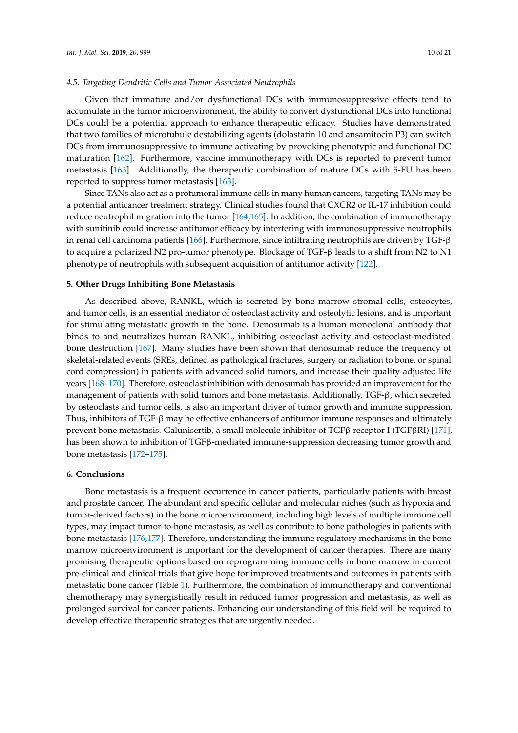## *4.5. Targeting Dendritic Cells and Tumor-Associated Neutrophils*

Given that immature and/or dysfunctional DCs with immunosuppressive effects tend to accumulate in the tumor microenvironment, the ability to convert dysfunctional DCs into functional DCs could be a potential approach to enhance therapeutic efficacy. Studies have demonstrated that two families of microtubule destabilizing agents (dolastatin 10 and ansamitocin P3) can switch DCs from immunosuppressive to immune activating by provoking phenotypic and functional DC maturation [\[162\]](#page-19-6). Furthermore, vaccine immunotherapy with DCs is reported to prevent tumor metastasis [\[163\]](#page-19-7). Additionally, the therapeutic combination of mature DCs with 5-FU has been reported to suppress tumor metastasis [\[163\]](#page-19-7).

Since TANs also act as a protumoral immune cells in many human cancers, targeting TANs may be a potential anticancer treatment strategy. Clinical studies found that CXCR2 or IL-17 inhibition could reduce neutrophil migration into the tumor [\[164,](#page-19-8)[165\]](#page-19-9). In addition, the combination of immunotherapy with sunitinib could increase antitumor efficacy by interfering with immunosuppressive neutrophils in renal cell carcinoma patients [\[166\]](#page-19-10). Furthermore, since infiltrating neutrophils are driven by TGF-β to acquire a polarized N2 pro-tumor phenotype. Blockage of TGF-β leads to a shift from N2 to N1 phenotype of neutrophils with subsequent acquisition of antitumor activity [\[122\]](#page-17-3).

## **5. Other Drugs Inhibiting Bone Metastasis**

As described above, RANKL, which is secreted by bone marrow stromal cells, osteocytes, and tumor cells, is an essential mediator of osteoclast activity and osteolytic lesions, and is important for stimulating metastatic growth in the bone. Denosumab is a human monoclonal antibody that binds to and neutralizes human RANKL, inhibiting osteoclast activity and osteoclast-mediated bone destruction [\[167\]](#page-19-11). Many studies have been shown that denosumab reduce the frequency of skeletal-related events (SREs, defined as pathological fractures, surgery or radiation to bone, or spinal cord compression) in patients with advanced solid tumors, and increase their quality-adjusted life years [\[168–](#page-19-12)[170\]](#page-19-13). Therefore, osteoclast inhibition with denosumab has provided an improvement for the management of patients with solid tumors and bone metastasis. Additionally, TGF-β, which secreted by osteoclasts and tumor cells, is also an important driver of tumor growth and immune suppression. Thus, inhibitors of TGF-β may be effective enhancers of antitumor immune responses and ultimately prevent bone metastasis. Galunisertib, a small molecule inhibitor of TGFβ receptor I (TGFβRI) [\[171\]](#page-19-14), has been shown to inhibition of TGFβ-mediated immune-suppression decreasing tumor growth and bone metastasis [\[172–](#page-19-15)[175\]](#page-20-0).

## **6. Conclusions**

Bone metastasis is a frequent occurrence in cancer patients, particularly patients with breast and prostate cancer. The abundant and specific cellular and molecular niches (such as hypoxia and tumor-derived factors) in the bone microenvironment, including high levels of multiple immune cell types, may impact tumor-to-bone metastasis, as well as contribute to bone pathologies in patients with bone metastasis [\[176](#page-20-1)[,177\]](#page-20-2). Therefore, understanding the immune regulatory mechanisms in the bone marrow microenvironment is important for the development of cancer therapies. There are many promising therapeutic options based on reprogramming immune cells in bone marrow in current pre-clinical and clinical trials that give hope for improved treatments and outcomes in patients with metastatic bone cancer (Table [1\)](#page-10-0). Furthermore, the combination of immunotherapy and conventional chemotherapy may synergistically result in reduced tumor progression and metastasis, as well as prolonged survival for cancer patients. Enhancing our understanding of this field will be required to develop effective therapeutic strategies that are urgently needed.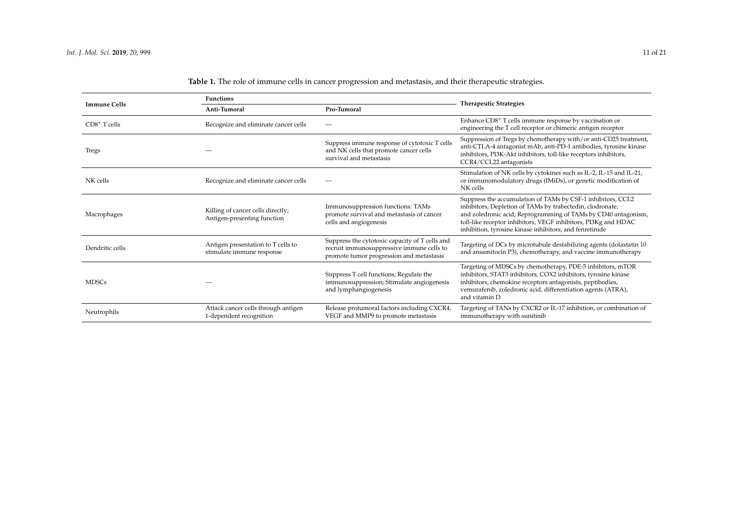<span id="page-10-0"></span>

| <b>Immune Cells</b> | <b>Functions</b>                                                 |                                                                                                                                         | <b>Therapeutic Strategies</b>                                                                                                                                                                                                                                                                                           |
|---------------------|------------------------------------------------------------------|-----------------------------------------------------------------------------------------------------------------------------------------|-------------------------------------------------------------------------------------------------------------------------------------------------------------------------------------------------------------------------------------------------------------------------------------------------------------------------|
|                     | Anti-Tumoral                                                     | Pro-Tumoral                                                                                                                             |                                                                                                                                                                                                                                                                                                                         |
| $CD8+$ T cells      | Recognize and eliminate cancer cells                             |                                                                                                                                         | Enhance CD8 <sup>+</sup> T cells immune response by vaccination or<br>engineering the T cell receptor or chimeric antigen receptor                                                                                                                                                                                      |
| Tregs               |                                                                  | Suppress immune response of cytotoxic T cells<br>and NK cells that promote cancer cells<br>survival and metastasis                      | Suppression of Tregs by chemotherapy with/or anti-CD25 treatment,<br>anti-CTLA-4 antagonist mAb, anti-PD-1 antibodies, tyrosine kinase<br>inhibitors, PI3K-Akt inhibitors, toll-like receptors inhibitors,<br>CCR4/CCL22 antagonists                                                                                    |
| NK cells            | Recognize and eliminate cancer cells                             |                                                                                                                                         | Stimulation of NK cells by cytokines such as IL-2, IL-15 and IL-21,<br>or immunomodulatory drugs (IMiDs), or genetic modification of<br>NK cells                                                                                                                                                                        |
| Macrophages         | Killing of cancer cells directly;<br>Antigen-presenting function | Immunosuppression functions: TAMs<br>promote survival and metastasis of cancer<br>cells and angiogenesis                                | Suppress the accumulation of TAMs by CSF-1 inhibitors, CCL2<br>inhibitors; Depletion of TAMs by trabectedin, clodronate,<br>and zoledronic acid; Reprogramming of TAMs by CD40 antagonism,<br>toll-like receptor inhibitors, VEGF inhibitors, PI3Kg and HDAC<br>inhibition, tyrosine kinase inhibitors, and fenretinide |
| Dendritic cells     | Antigen presentation to T cells to<br>stimulate immune response  | Suppress the cytotoxic capacity of T cells and<br>recruit immunosuppressive immune cells to<br>promote tumor progression and metastasis | Targeting of DCs by microtubule destabilizing agents (dolastatin 10<br>and ansamitocin P3), chemotherapy, and vaccine immunotherapy                                                                                                                                                                                     |
| <b>MDSCs</b>        |                                                                  | Suppress T cell functions; Regulate the<br>immunosuppression; Stimulate angiogenesis<br>and lymphangiogenesis                           | Targeting of MDSCs by chemotherapy, PDE-5 inhibitors, mTOR<br>inhibitors, STAT3 inhibitors, COX2 inhibitors, tyrosine kinase<br>inhibitors, chemokine receptors antagonists, peptibodies,<br>vemurafenib, zoledronic acid, differentiation agents (ATRA),<br>and vitamin D                                              |
| Neutrophils         | Attack cancer cells through antigen<br>1-dependent recognition   | Release protumoral factors including CXCR4,<br>VEGF and MMP9 to promote metastasis                                                      | Targeting of TANs by CXCR2 or IL-17 inhibition, or combination of<br>immunotherapy with sunitinib                                                                                                                                                                                                                       |

## **Table 1.** The role of immune cells in cancer progression and metastasis, and their therapeutic strategies.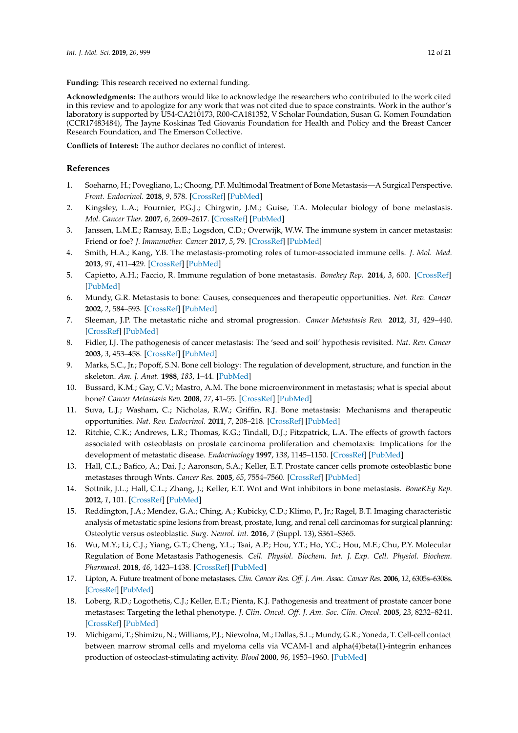**Funding:** This research received no external funding.

**Acknowledgments:** The authors would like to acknowledge the researchers who contributed to the work cited in this review and to apologize for any work that was not cited due to space constraints. Work in the author's laboratory is supported by U54-CA210173, R00-CA181352, V Scholar Foundation, Susan G. Komen Foundation (CCR17483484), The Jayne Koskinas Ted Giovanis Foundation for Health and Policy and the Breast Cancer Research Foundation, and The Emerson Collective.

**Conflicts of Interest:** The author declares no conflict of interest.

## **References**

- <span id="page-11-0"></span>1. Soeharno, H.; Povegliano, L.; Choong, P.F. Multimodal Treatment of Bone Metastasis—A Surgical Perspective. *Front. Endocrinol.* **2018**, *9*, 578. [\[CrossRef\]](http://dx.doi.org/10.3389/fendo.2018.00518) [\[PubMed\]](http://www.ncbi.nlm.nih.gov/pubmed/30245668)
- <span id="page-11-1"></span>2. Kingsley, L.A.; Fournier, P.G.J.; Chirgwin, J.M.; Guise, T.A. Molecular biology of bone metastasis. *Mol. Cancer Ther.* **2007**, *6*, 2609–2617. [\[CrossRef\]](http://dx.doi.org/10.1158/1535-7163.MCT-07-0234) [\[PubMed\]](http://www.ncbi.nlm.nih.gov/pubmed/17938257)
- <span id="page-11-2"></span>3. Janssen, L.M.E.; Ramsay, E.E.; Logsdon, C.D.; Overwijk, W.W. The immune system in cancer metastasis: Friend or foe? *J. Immunother. Cancer* **2017**, *5*, 79. [\[CrossRef\]](http://dx.doi.org/10.1186/s40425-017-0283-9) [\[PubMed\]](http://www.ncbi.nlm.nih.gov/pubmed/29037250)
- <span id="page-11-3"></span>4. Smith, H.A.; Kang, Y.B. The metastasis-promoting roles of tumor-associated immune cells. *J. Mol. Med.* **2013**, *91*, 411–429. [\[CrossRef\]](http://dx.doi.org/10.1007/s00109-013-1021-5) [\[PubMed\]](http://www.ncbi.nlm.nih.gov/pubmed/23515621)
- <span id="page-11-4"></span>5. Capietto, A.H.; Faccio, R. Immune regulation of bone metastasis. *Bonekey Rep.* **2014**, *3*, 600. [\[CrossRef\]](http://dx.doi.org/10.1038/bonekey.2014.95) [\[PubMed\]](http://www.ncbi.nlm.nih.gov/pubmed/25512853)
- <span id="page-11-5"></span>6. Mundy, G.R. Metastasis to bone: Causes, consequences and therapeutic opportunities. *Nat. Rev. Cancer* **2002**, *2*, 584–593. [\[CrossRef\]](http://dx.doi.org/10.1038/nrc867) [\[PubMed\]](http://www.ncbi.nlm.nih.gov/pubmed/12154351)
- <span id="page-11-6"></span>7. Sleeman, J.P. The metastatic niche and stromal progression. *Cancer Metastasis Rev.* **2012**, *31*, 429–440. [\[CrossRef\]](http://dx.doi.org/10.1007/s10555-012-9373-9) [\[PubMed\]](http://www.ncbi.nlm.nih.gov/pubmed/22699312)
- <span id="page-11-7"></span>8. Fidler, I.J. The pathogenesis of cancer metastasis: The 'seed and soil' hypothesis revisited. *Nat. Rev. Cancer* **2003**, *3*, 453–458. [\[CrossRef\]](http://dx.doi.org/10.1038/nrc1098) [\[PubMed\]](http://www.ncbi.nlm.nih.gov/pubmed/12778135)
- <span id="page-11-8"></span>9. Marks, S.C., Jr.; Popoff, S.N. Bone cell biology: The regulation of development, structure, and function in the skeleton. *Am. J. Anat.* **1988**, *183*, 1–44. [\[PubMed\]](http://www.ncbi.nlm.nih.gov/pubmed/3055928)
- <span id="page-11-9"></span>10. Bussard, K.M.; Gay, C.V.; Mastro, A.M. The bone microenvironment in metastasis; what is special about bone? *Cancer Metastasis Rev.* **2008**, *27*, 41–55. [\[CrossRef\]](http://dx.doi.org/10.1007/s10555-007-9109-4) [\[PubMed\]](http://www.ncbi.nlm.nih.gov/pubmed/18071636)
- <span id="page-11-10"></span>11. Suva, L.J.; Washam, C.; Nicholas, R.W.; Griffin, R.J. Bone metastasis: Mechanisms and therapeutic opportunities. *Nat. Rev. Endocrinol.* **2011**, *7*, 208–218. [\[CrossRef\]](http://dx.doi.org/10.1038/nrendo.2010.227) [\[PubMed\]](http://www.ncbi.nlm.nih.gov/pubmed/21200394)
- <span id="page-11-11"></span>12. Ritchie, C.K.; Andrews, L.R.; Thomas, K.G.; Tindall, D.J.; Fitzpatrick, L.A. The effects of growth factors associated with osteoblasts on prostate carcinoma proliferation and chemotaxis: Implications for the development of metastatic disease. *Endocrinology* **1997**, *138*, 1145–1150. [\[CrossRef\]](http://dx.doi.org/10.1210/endo.138.3.4974) [\[PubMed\]](http://www.ncbi.nlm.nih.gov/pubmed/9048621)
- <span id="page-11-12"></span>13. Hall, C.L.; Bafico, A.; Dai, J.; Aaronson, S.A.; Keller, E.T. Prostate cancer cells promote osteoblastic bone metastases through Wnts. *Cancer Res.* **2005**, *65*, 7554–7560. [\[CrossRef\]](http://dx.doi.org/10.1158/0008-5472.CAN-05-1317) [\[PubMed\]](http://www.ncbi.nlm.nih.gov/pubmed/16140917)
- <span id="page-11-13"></span>14. Sottnik, J.L.; Hall, C.L.; Zhang, J.; Keller, E.T. Wnt and Wnt inhibitors in bone metastasis. *BoneKEy Rep.* **2012**, *1*, 101. [\[CrossRef\]](http://dx.doi.org/10.1038/bonekey.2012.101) [\[PubMed\]](http://www.ncbi.nlm.nih.gov/pubmed/23951488)
- <span id="page-11-14"></span>15. Reddington, J.A.; Mendez, G.A.; Ching, A.; Kubicky, C.D.; Klimo, P., Jr.; Ragel, B.T. Imaging characteristic analysis of metastatic spine lesions from breast, prostate, lung, and renal cell carcinomas for surgical planning: Osteolytic versus osteoblastic. *Surg. Neurol. Int.* **2016**, *7* (Suppl. 13), S361–S365.
- <span id="page-11-15"></span>16. Wu, M.Y.; Li, C.J.; Yiang, G.T.; Cheng, Y.L.; Tsai, A.P.; Hou, Y.T.; Ho, Y.C.; Hou, M.F.; Chu, P.Y. Molecular Regulation of Bone Metastasis Pathogenesis. *Cell. Physiol. Biochem. Int. J. Exp. Cell. Physiol. Biochem. Pharmacol.* **2018**, *46*, 1423–1438. [\[CrossRef\]](http://dx.doi.org/10.1159/000489184) [\[PubMed\]](http://www.ncbi.nlm.nih.gov/pubmed/29689559)
- <span id="page-11-16"></span>17. Lipton, A. Future treatment of bone metastases. *Clin. Cancer Res. Off. J. Am. Assoc. Cancer Res.* **2006**, *12*, 6305s–6308s. [\[CrossRef\]](http://dx.doi.org/10.1158/1078-0432.CCR-06-1157) [\[PubMed\]](http://www.ncbi.nlm.nih.gov/pubmed/17062719)
- <span id="page-11-17"></span>18. Loberg, R.D.; Logothetis, C.J.; Keller, E.T.; Pienta, K.J. Pathogenesis and treatment of prostate cancer bone metastases: Targeting the lethal phenotype. *J. Clin. Oncol. Off. J. Am. Soc. Clin. Oncol.* **2005**, *23*, 8232–8241. [\[CrossRef\]](http://dx.doi.org/10.1200/JCO.2005.03.0841) [\[PubMed\]](http://www.ncbi.nlm.nih.gov/pubmed/16278478)
- <span id="page-11-18"></span>19. Michigami, T.; Shimizu, N.; Williams, P.J.; Niewolna, M.; Dallas, S.L.; Mundy, G.R.; Yoneda, T. Cell-cell contact between marrow stromal cells and myeloma cells via VCAM-1 and alpha(4)beta(1)-integrin enhances production of osteoclast-stimulating activity. *Blood* **2000**, *96*, 1953–1960. [\[PubMed\]](http://www.ncbi.nlm.nih.gov/pubmed/10961900)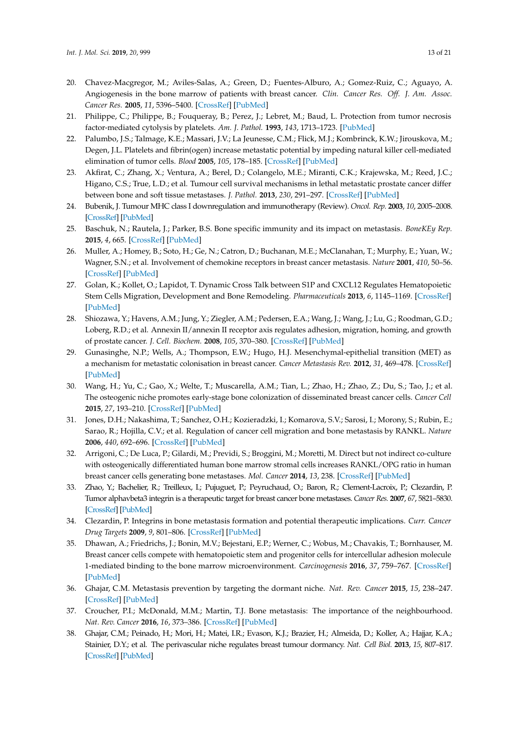- <span id="page-12-0"></span>20. Chavez-Macgregor, M.; Aviles-Salas, A.; Green, D.; Fuentes-Alburo, A.; Gomez-Ruiz, C.; Aguayo, A. Angiogenesis in the bone marrow of patients with breast cancer. *Clin. Cancer Res. Off. J. Am. Assoc. Cancer Res.* **2005**, *11*, 5396–5400. [\[CrossRef\]](http://dx.doi.org/10.1158/1078-0432.CCR-04-2420) [\[PubMed\]](http://www.ncbi.nlm.nih.gov/pubmed/16061853)
- <span id="page-12-1"></span>21. Philippe, C.; Philippe, B.; Fouqueray, B.; Perez, J.; Lebret, M.; Baud, L. Protection from tumor necrosis factor-mediated cytolysis by platelets. *Am. J. Pathol.* **1993**, *143*, 1713–1723. [\[PubMed\]](http://www.ncbi.nlm.nih.gov/pubmed/8256858)
- <span id="page-12-2"></span>22. Palumbo, J.S.; Talmage, K.E.; Massari, J.V.; La Jeunesse, C.M.; Flick, M.J.; Kombrinck, K.W.; Jirouskova, M.; Degen, J.L. Platelets and fibrin(ogen) increase metastatic potential by impeding natural killer cell-mediated elimination of tumor cells. *Blood* **2005**, *105*, 178–185. [\[CrossRef\]](http://dx.doi.org/10.1182/blood-2004-06-2272) [\[PubMed\]](http://www.ncbi.nlm.nih.gov/pubmed/15367435)
- <span id="page-12-3"></span>23. Akfirat, C.; Zhang, X.; Ventura, A.; Berel, D.; Colangelo, M.E.; Miranti, C.K.; Krajewska, M.; Reed, J.C.; Higano, C.S.; True, L.D.; et al. Tumour cell survival mechanisms in lethal metastatic prostate cancer differ between bone and soft tissue metastases. *J. Pathol.* **2013**, *230*, 291–297. [\[CrossRef\]](http://dx.doi.org/10.1002/path.4180) [\[PubMed\]](http://www.ncbi.nlm.nih.gov/pubmed/23420560)
- <span id="page-12-4"></span>24. Bubenik, J. Tumour MHC class I downregulation and immunotherapy (Review). *Oncol. Rep.* **2003**, *10*, 2005–2008. [\[CrossRef\]](http://dx.doi.org/10.3892/or.10.6.2005) [\[PubMed\]](http://www.ncbi.nlm.nih.gov/pubmed/14534734)
- <span id="page-12-5"></span>25. Baschuk, N.; Rautela, J.; Parker, B.S. Bone specific immunity and its impact on metastasis. *BoneKEy Rep.* **2015**, *4*, 665. [\[CrossRef\]](http://dx.doi.org/10.1038/bonekey.2015.32) [\[PubMed\]](http://www.ncbi.nlm.nih.gov/pubmed/25908968)
- <span id="page-12-6"></span>26. Muller, A.; Homey, B.; Soto, H.; Ge, N.; Catron, D.; Buchanan, M.E.; McClanahan, T.; Murphy, E.; Yuan, W.; Wagner, S.N.; et al. Involvement of chemokine receptors in breast cancer metastasis. *Nature* **2001**, *410*, 50–56. [\[CrossRef\]](http://dx.doi.org/10.1038/35065016) [\[PubMed\]](http://www.ncbi.nlm.nih.gov/pubmed/11242036)
- 27. Golan, K.; Kollet, O.; Lapidot, T. Dynamic Cross Talk between S1P and CXCL12 Regulates Hematopoietic Stem Cells Migration, Development and Bone Remodeling. *Pharmaceuticals* **2013**, *6*, 1145–1169. [\[CrossRef\]](http://dx.doi.org/10.3390/ph6091145) [\[PubMed\]](http://www.ncbi.nlm.nih.gov/pubmed/24276423)
- <span id="page-12-7"></span>28. Shiozawa, Y.; Havens, A.M.; Jung, Y.; Ziegler, A.M.; Pedersen, E.A.; Wang, J.; Wang, J.; Lu, G.; Roodman, G.D.; Loberg, R.D.; et al. Annexin II/annexin II receptor axis regulates adhesion, migration, homing, and growth of prostate cancer. *J. Cell. Biochem.* **2008**, *105*, 370–380. [\[CrossRef\]](http://dx.doi.org/10.1002/jcb.21835) [\[PubMed\]](http://www.ncbi.nlm.nih.gov/pubmed/18636554)
- <span id="page-12-8"></span>29. Gunasinghe, N.P.; Wells, A.; Thompson, E.W.; Hugo, H.J. Mesenchymal-epithelial transition (MET) as a mechanism for metastatic colonisation in breast cancer. *Cancer Metastasis Rev.* **2012**, *31*, 469–478. [\[CrossRef\]](http://dx.doi.org/10.1007/s10555-012-9377-5) [\[PubMed\]](http://www.ncbi.nlm.nih.gov/pubmed/22729277)
- <span id="page-12-9"></span>30. Wang, H.; Yu, C.; Gao, X.; Welte, T.; Muscarella, A.M.; Tian, L.; Zhao, H.; Zhao, Z.; Du, S.; Tao, J.; et al. The osteogenic niche promotes early-stage bone colonization of disseminated breast cancer cells. *Cancer Cell* **2015**, *27*, 193–210. [\[CrossRef\]](http://dx.doi.org/10.1016/j.ccell.2014.11.017) [\[PubMed\]](http://www.ncbi.nlm.nih.gov/pubmed/25600338)
- <span id="page-12-10"></span>31. Jones, D.H.; Nakashima, T.; Sanchez, O.H.; Kozieradzki, I.; Komarova, S.V.; Sarosi, I.; Morony, S.; Rubin, E.; Sarao, R.; Hojilla, C.V.; et al. Regulation of cancer cell migration and bone metastasis by RANKL. *Nature* **2006**, *440*, 692–696. [\[CrossRef\]](http://dx.doi.org/10.1038/nature04524) [\[PubMed\]](http://www.ncbi.nlm.nih.gov/pubmed/16572175)
- <span id="page-12-11"></span>32. Arrigoni, C.; De Luca, P.; Gilardi, M.; Previdi, S.; Broggini, M.; Moretti, M. Direct but not indirect co-culture with osteogenically differentiated human bone marrow stromal cells increases RANKL/OPG ratio in human breast cancer cells generating bone metastases. *Mol. Cancer* **2014**, *13*, 238. [\[CrossRef\]](http://dx.doi.org/10.1186/1476-4598-13-238) [\[PubMed\]](http://www.ncbi.nlm.nih.gov/pubmed/25335447)
- <span id="page-12-12"></span>33. Zhao, Y.; Bachelier, R.; Treilleux, I.; Pujuguet, P.; Peyruchaud, O.; Baron, R.; Clement-Lacroix, P.; Clezardin, P. Tumor alphavbeta3 integrin is a therapeutic target for breast cancer bone metastases. *Cancer Res.* **2007**, *67*, 5821–5830. [\[CrossRef\]](http://dx.doi.org/10.1158/0008-5472.CAN-06-4499) [\[PubMed\]](http://www.ncbi.nlm.nih.gov/pubmed/17575150)
- 34. Clezardin, P. Integrins in bone metastasis formation and potential therapeutic implications. *Curr. Cancer Drug Targets* **2009**, *9*, 801–806. [\[CrossRef\]](http://dx.doi.org/10.2174/156800909789760348) [\[PubMed\]](http://www.ncbi.nlm.nih.gov/pubmed/20025568)
- <span id="page-12-13"></span>35. Dhawan, A.; Friedrichs, J.; Bonin, M.V.; Bejestani, E.P.; Werner, C.; Wobus, M.; Chavakis, T.; Bornhauser, M. Breast cancer cells compete with hematopoietic stem and progenitor cells for intercellular adhesion molecule 1-mediated binding to the bone marrow microenvironment. *Carcinogenesis* **2016**, *37*, 759–767. [\[CrossRef\]](http://dx.doi.org/10.1093/carcin/bgw057) [\[PubMed\]](http://www.ncbi.nlm.nih.gov/pubmed/27207667)
- <span id="page-12-14"></span>36. Ghajar, C.M. Metastasis prevention by targeting the dormant niche. *Nat. Rev. Cancer* **2015**, *15*, 238–247. [\[CrossRef\]](http://dx.doi.org/10.1038/nrc3910) [\[PubMed\]](http://www.ncbi.nlm.nih.gov/pubmed/25801619)
- <span id="page-12-15"></span>37. Croucher, P.I.; McDonald, M.M.; Martin, T.J. Bone metastasis: The importance of the neighbourhood. *Nat. Rev. Cancer* **2016**, *16*, 373–386. [\[CrossRef\]](http://dx.doi.org/10.1038/nrc.2016.44) [\[PubMed\]](http://www.ncbi.nlm.nih.gov/pubmed/27220481)
- <span id="page-12-16"></span>38. Ghajar, C.M.; Peinado, H.; Mori, H.; Matei, I.R.; Evason, K.J.; Brazier, H.; Almeida, D.; Koller, A.; Hajjar, K.A.; Stainier, D.Y.; et al. The perivascular niche regulates breast tumour dormancy. *Nat. Cell Biol.* **2013**, *15*, 807–817. [\[CrossRef\]](http://dx.doi.org/10.1038/ncb2767) [\[PubMed\]](http://www.ncbi.nlm.nih.gov/pubmed/23728425)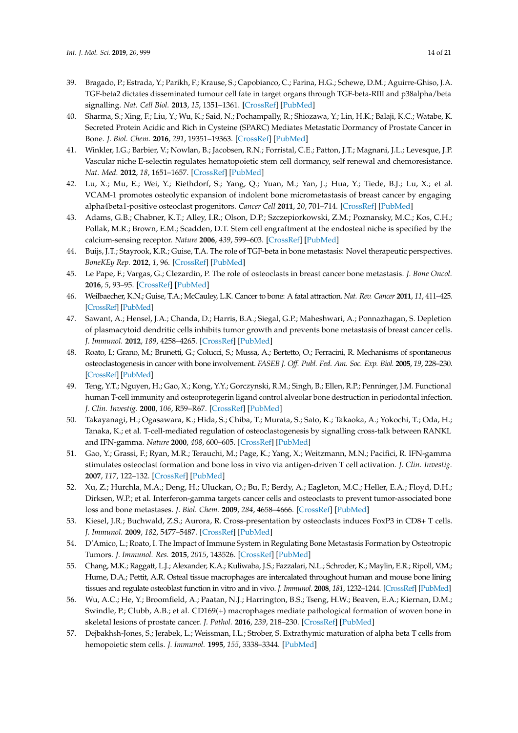- 39. Bragado, P.; Estrada, Y.; Parikh, F.; Krause, S.; Capobianco, C.; Farina, H.G.; Schewe, D.M.; Aguirre-Ghiso, J.A. TGF-beta2 dictates disseminated tumour cell fate in target organs through TGF-beta-RIII and p38alpha/beta signalling. *Nat. Cell Biol.* **2013**, *15*, 1351–1361. [\[CrossRef\]](http://dx.doi.org/10.1038/ncb2861) [\[PubMed\]](http://www.ncbi.nlm.nih.gov/pubmed/24161934)
- 40. Sharma, S.; Xing, F.; Liu, Y.; Wu, K.; Said, N.; Pochampally, R.; Shiozawa, Y.; Lin, H.K.; Balaji, K.C.; Watabe, K. Secreted Protein Acidic and Rich in Cysteine (SPARC) Mediates Metastatic Dormancy of Prostate Cancer in Bone. *J. Biol. Chem.* **2016**, *291*, 19351–19363. [\[CrossRef\]](http://dx.doi.org/10.1074/jbc.M116.737379) [\[PubMed\]](http://www.ncbi.nlm.nih.gov/pubmed/27422817)
- <span id="page-13-0"></span>41. Winkler, I.G.; Barbier, V.; Nowlan, B.; Jacobsen, R.N.; Forristal, C.E.; Patton, J.T.; Magnani, J.L.; Levesque, J.P. Vascular niche E-selectin regulates hematopoietic stem cell dormancy, self renewal and chemoresistance. *Nat. Med.* **2012**, *18*, 1651–1657. [\[CrossRef\]](http://dx.doi.org/10.1038/nm.2969) [\[PubMed\]](http://www.ncbi.nlm.nih.gov/pubmed/23086476)
- <span id="page-13-1"></span>42. Lu, X.; Mu, E.; Wei, Y.; Riethdorf, S.; Yang, Q.; Yuan, M.; Yan, J.; Hua, Y.; Tiede, B.J.; Lu, X.; et al. VCAM-1 promotes osteolytic expansion of indolent bone micrometastasis of breast cancer by engaging alpha4beta1-positive osteoclast progenitors. *Cancer Cell* **2011**, *20*, 701–714. [\[CrossRef\]](http://dx.doi.org/10.1016/j.ccr.2011.11.002) [\[PubMed\]](http://www.ncbi.nlm.nih.gov/pubmed/22137794)
- <span id="page-13-2"></span>43. Adams, G.B.; Chabner, K.T.; Alley, I.R.; Olson, D.P.; Szczepiorkowski, Z.M.; Poznansky, M.C.; Kos, C.H.; Pollak, M.R.; Brown, E.M.; Scadden, D.T. Stem cell engraftment at the endosteal niche is specified by the calcium-sensing receptor. *Nature* **2006**, *439*, 599–603. [\[CrossRef\]](http://dx.doi.org/10.1038/nature04247) [\[PubMed\]](http://www.ncbi.nlm.nih.gov/pubmed/16382241)
- <span id="page-13-3"></span>44. Buijs, J.T.; Stayrook, K.R.; Guise, T.A. The role of TGF-beta in bone metastasis: Novel therapeutic perspectives. *BoneKEy Rep.* **2012**, *1*, 96. [\[CrossRef\]](http://dx.doi.org/10.1038/bonekey.2012.96) [\[PubMed\]](http://www.ncbi.nlm.nih.gov/pubmed/23951484)
- <span id="page-13-4"></span>45. Le Pape, F.; Vargas, G.; Clezardin, P. The role of osteoclasts in breast cancer bone metastasis. *J. Bone Oncol.* **2016**, *5*, 93–95. [\[CrossRef\]](http://dx.doi.org/10.1016/j.jbo.2016.02.008) [\[PubMed\]](http://www.ncbi.nlm.nih.gov/pubmed/27761364)
- <span id="page-13-5"></span>46. Weilbaecher, K.N.; Guise, T.A.; McCauley, L.K. Cancer to bone: A fatal attraction. *Nat. Rev. Cancer* **2011**, *11*, 411–425. [\[CrossRef\]](http://dx.doi.org/10.1038/nrc3055) [\[PubMed\]](http://www.ncbi.nlm.nih.gov/pubmed/21593787)
- <span id="page-13-6"></span>47. Sawant, A.; Hensel, J.A.; Chanda, D.; Harris, B.A.; Siegal, G.P.; Maheshwari, A.; Ponnazhagan, S. Depletion of plasmacytoid dendritic cells inhibits tumor growth and prevents bone metastasis of breast cancer cells. *J. Immunol.* **2012**, *189*, 4258–4265. [\[CrossRef\]](http://dx.doi.org/10.4049/jimmunol.1101855) [\[PubMed\]](http://www.ncbi.nlm.nih.gov/pubmed/23018462)
- <span id="page-13-7"></span>48. Roato, I.; Grano, M.; Brunetti, G.; Colucci, S.; Mussa, A.; Bertetto, O.; Ferracini, R. Mechanisms of spontaneous osteoclastogenesis in cancer with bone involvement. *FASEB J. Off. Publ. Fed. Am. Soc. Exp. Biol.* **2005**, *19*, 228–230. [\[CrossRef\]](http://dx.doi.org/10.1096/fj.04-1823fje) [\[PubMed\]](http://www.ncbi.nlm.nih.gov/pubmed/15550550)
- <span id="page-13-8"></span>49. Teng, Y.T.; Nguyen, H.; Gao, X.; Kong, Y.Y.; Gorczynski, R.M.; Singh, B.; Ellen, R.P.; Penninger, J.M. Functional human T-cell immunity and osteoprotegerin ligand control alveolar bone destruction in periodontal infection. *J. Clin. Investig.* **2000**, *106*, R59–R67. [\[CrossRef\]](http://dx.doi.org/10.1172/JCI10763) [\[PubMed\]](http://www.ncbi.nlm.nih.gov/pubmed/10995794)
- <span id="page-13-9"></span>50. Takayanagi, H.; Ogasawara, K.; Hida, S.; Chiba, T.; Murata, S.; Sato, K.; Takaoka, A.; Yokochi, T.; Oda, H.; Tanaka, K.; et al. T-cell-mediated regulation of osteoclastogenesis by signalling cross-talk between RANKL and IFN-gamma. *Nature* **2000**, *408*, 600–605. [\[CrossRef\]](http://dx.doi.org/10.1038/35046102) [\[PubMed\]](http://www.ncbi.nlm.nih.gov/pubmed/11117749)
- 51. Gao, Y.; Grassi, F.; Ryan, M.R.; Terauchi, M.; Page, K.; Yang, X.; Weitzmann, M.N.; Pacifici, R. IFN-gamma stimulates osteoclast formation and bone loss in vivo via antigen-driven T cell activation. *J. Clin. Investig.* **2007**, *117*, 122–132. [\[CrossRef\]](http://dx.doi.org/10.1172/JCI30074) [\[PubMed\]](http://www.ncbi.nlm.nih.gov/pubmed/17173138)
- <span id="page-13-10"></span>52. Xu, Z.; Hurchla, M.A.; Deng, H.; Uluckan, O.; Bu, F.; Berdy, A.; Eagleton, M.C.; Heller, E.A.; Floyd, D.H.; Dirksen, W.P.; et al. Interferon-gamma targets cancer cells and osteoclasts to prevent tumor-associated bone loss and bone metastases. *J. Biol. Chem.* **2009**, *284*, 4658–4666. [\[CrossRef\]](http://dx.doi.org/10.1074/jbc.M804812200) [\[PubMed\]](http://www.ncbi.nlm.nih.gov/pubmed/19059914)
- <span id="page-13-11"></span>53. Kiesel, J.R.; Buchwald, Z.S.; Aurora, R. Cross-presentation by osteoclasts induces FoxP3 in CD8+ T cells. *J. Immunol.* **2009**, *182*, 5477–5487. [\[CrossRef\]](http://dx.doi.org/10.4049/jimmunol.0803897) [\[PubMed\]](http://www.ncbi.nlm.nih.gov/pubmed/19380796)
- <span id="page-13-12"></span>54. D'Amico, L.; Roato, I. The Impact of Immune System in Regulating Bone Metastasis Formation by Osteotropic Tumors. *J. Immunol. Res.* **2015**, *2015*, 143526. [\[CrossRef\]](http://dx.doi.org/10.1155/2015/143526) [\[PubMed\]](http://www.ncbi.nlm.nih.gov/pubmed/26064994)
- <span id="page-13-13"></span>55. Chang, M.K.; Raggatt, L.J.; Alexander, K.A.; Kuliwaba, J.S.; Fazzalari, N.L.; Schroder, K.; Maylin, E.R.; Ripoll, V.M.; Hume, D.A.; Pettit, A.R. Osteal tissue macrophages are intercalated throughout human and mouse bone lining tissues and regulate osteoblast function in vitro and in vivo. *J. Immunol.* **2008**, *181*, 1232–1244. [\[CrossRef\]](http://dx.doi.org/10.4049/jimmunol.181.2.1232) [\[PubMed\]](http://www.ncbi.nlm.nih.gov/pubmed/18606677)
- <span id="page-13-14"></span>56. Wu, A.C.; He, Y.; Broomfield, A.; Paatan, N.J.; Harrington, B.S.; Tseng, H.W.; Beaven, E.A.; Kiernan, D.M.; Swindle, P.; Clubb, A.B.; et al. CD169(+) macrophages mediate pathological formation of woven bone in skeletal lesions of prostate cancer. *J. Pathol.* **2016**, *239*, 218–230. [\[CrossRef\]](http://dx.doi.org/10.1002/path.4718) [\[PubMed\]](http://www.ncbi.nlm.nih.gov/pubmed/27174786)
- <span id="page-13-15"></span>57. Dejbakhsh-Jones, S.; Jerabek, L.; Weissman, I.L.; Strober, S. Extrathymic maturation of alpha beta T cells from hemopoietic stem cells. *J. Immunol.* **1995**, *155*, 3338–3344. [\[PubMed\]](http://www.ncbi.nlm.nih.gov/pubmed/7561027)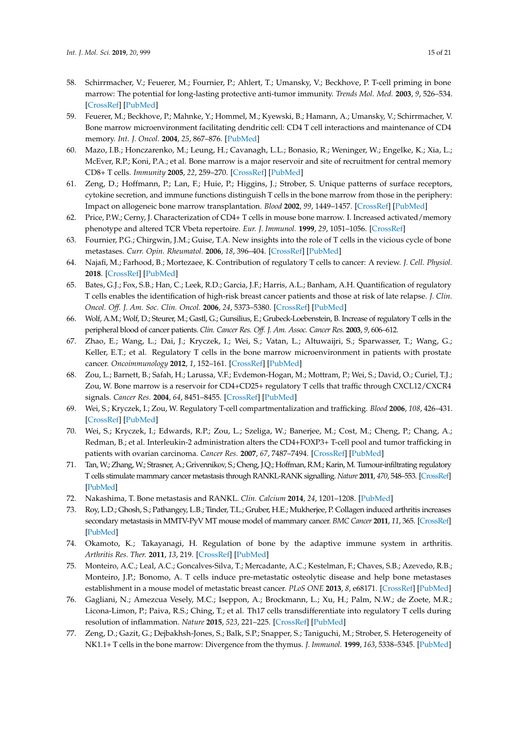- <span id="page-14-0"></span>58. Schirrmacher, V.; Feuerer, M.; Fournier, P.; Ahlert, T.; Umansky, V.; Beckhove, P. T-cell priming in bone marrow: The potential for long-lasting protective anti-tumor immunity. *Trends Mol. Med.* **2003**, *9*, 526–534. [\[CrossRef\]](http://dx.doi.org/10.1016/j.molmed.2003.10.001) [\[PubMed\]](http://www.ncbi.nlm.nih.gov/pubmed/14659467)
- <span id="page-14-1"></span>59. Feuerer, M.; Beckhove, P.; Mahnke, Y.; Hommel, M.; Kyewski, B.; Hamann, A.; Umansky, V.; Schirrmacher, V. Bone marrow microenvironment facilitating dendritic cell: CD4 T cell interactions and maintenance of CD4 memory. *Int. J. Oncol.* **2004**, *25*, 867–876. [\[PubMed\]](http://www.ncbi.nlm.nih.gov/pubmed/15375534)
- <span id="page-14-2"></span>60. Mazo, I.B.; Honczarenko, M.; Leung, H.; Cavanagh, L.L.; Bonasio, R.; Weninger, W.; Engelke, K.; Xia, L.; McEver, R.P.; Koni, P.A.; et al. Bone marrow is a major reservoir and site of recruitment for central memory CD8+ T cells. *Immunity* **2005**, *22*, 259–270. [\[CrossRef\]](http://dx.doi.org/10.1016/j.immuni.2005.01.008) [\[PubMed\]](http://www.ncbi.nlm.nih.gov/pubmed/15723813)
- 61. Zeng, D.; Hoffmann, P.; Lan, F.; Huie, P.; Higgins, J.; Strober, S. Unique patterns of surface receptors, cytokine secretion, and immune functions distinguish T cells in the bone marrow from those in the periphery: Impact on allogeneic bone marrow transplantation. *Blood* **2002**, *99*, 1449–1457. [\[CrossRef\]](http://dx.doi.org/10.1182/blood.V99.4.1449) [\[PubMed\]](http://www.ncbi.nlm.nih.gov/pubmed/11830499)
- <span id="page-14-3"></span>62. Price, P.W.; Cerny, J. Characterization of CD4+ T cells in mouse bone marrow. I. Increased activated/memory phenotype and altered TCR Vbeta repertoire. *Eur. J. Immunol.* **1999**, *29*, 1051–1056. [\[CrossRef\]](http://dx.doi.org/10.1002/(SICI)1521-4141(199903)29:03<1051::AID-IMMU1051>3.0.CO;2-Y)
- <span id="page-14-4"></span>63. Fournier, P.G.; Chirgwin, J.M.; Guise, T.A. New insights into the role of T cells in the vicious cycle of bone metastases. *Curr. Opin. Rheumatol.* **2006**, *18*, 396–404. [\[CrossRef\]](http://dx.doi.org/10.1097/01.bor.0000231909.35043.da) [\[PubMed\]](http://www.ncbi.nlm.nih.gov/pubmed/16763461)
- <span id="page-14-5"></span>64. Najafi, M.; Farhood, B.; Mortezaee, K. Contribution of regulatory T cells to cancer: A review. *J. Cell. Physiol.* **2018**. [\[CrossRef\]](http://dx.doi.org/10.1002/jcp.27553) [\[PubMed\]](http://www.ncbi.nlm.nih.gov/pubmed/30317612)
- <span id="page-14-6"></span>65. Bates, G.J.; Fox, S.B.; Han, C.; Leek, R.D.; Garcia, J.F.; Harris, A.L.; Banham, A.H. Quantification of regulatory T cells enables the identification of high-risk breast cancer patients and those at risk of late relapse. *J. Clin. Oncol. Off. J. Am. Soc. Clin. Oncol.* **2006**, *24*, 5373–5380. [\[CrossRef\]](http://dx.doi.org/10.1200/JCO.2006.05.9584) [\[PubMed\]](http://www.ncbi.nlm.nih.gov/pubmed/17135638)
- <span id="page-14-7"></span>66. Wolf, A.M.; Wolf, D.; Steurer, M.; Gastl, G.; Gunsilius, E.; Grubeck-Loebenstein, B. Increase of regulatory T cells in the peripheral blood of cancer patients. *Clin. Cancer Res. Off. J. Am. Assoc. Cancer Res.* **2003**, *9*, 606–612.
- <span id="page-14-8"></span>67. Zhao, E.; Wang, L.; Dai, J.; Kryczek, I.; Wei, S.; Vatan, L.; Altuwaijri, S.; Sparwasser, T.; Wang, G.; Keller, E.T.; et al. Regulatory T cells in the bone marrow microenvironment in patients with prostate cancer. *Oncoimmunology* **2012**, *1*, 152–161. [\[CrossRef\]](http://dx.doi.org/10.4161/onci.1.2.18480) [\[PubMed\]](http://www.ncbi.nlm.nih.gov/pubmed/22720236)
- <span id="page-14-9"></span>68. Zou, L.; Barnett, B.; Safah, H.; Larussa, V.F.; Evdemon-Hogan, M.; Mottram, P.; Wei, S.; David, O.; Curiel, T.J.; Zou, W. Bone marrow is a reservoir for CD4+CD25+ regulatory T cells that traffic through CXCL12/CXCR4 signals. *Cancer Res.* **2004**, *64*, 8451–8455. [\[CrossRef\]](http://dx.doi.org/10.1158/0008-5472.CAN-04-1987) [\[PubMed\]](http://www.ncbi.nlm.nih.gov/pubmed/15548717)
- 69. Wei, S.; Kryczek, I.; Zou, W. Regulatory T-cell compartmentalization and trafficking. *Blood* **2006**, *108*, 426–431. [\[CrossRef\]](http://dx.doi.org/10.1182/blood-2006-01-0177) [\[PubMed\]](http://www.ncbi.nlm.nih.gov/pubmed/16537800)
- <span id="page-14-10"></span>70. Wei, S.; Kryczek, I.; Edwards, R.P.; Zou, L.; Szeliga, W.; Banerjee, M.; Cost, M.; Cheng, P.; Chang, A.; Redman, B.; et al. Interleukin-2 administration alters the CD4+FOXP3+ T-cell pool and tumor trafficking in patients with ovarian carcinoma. *Cancer Res.* **2007**, *67*, 7487–7494. [\[CrossRef\]](http://dx.doi.org/10.1158/0008-5472.CAN-07-0565) [\[PubMed\]](http://www.ncbi.nlm.nih.gov/pubmed/17671219)
- <span id="page-14-11"></span>71. Tan, W.; Zhang, W.; Strasner, A.; Grivennikov, S.; Cheng, J.Q.; Hoffman, R.M.; Karin, M. Tumour-infiltrating regulatory T cells stimulate mammary cancer metastasis through RANKL-RANK signalling. *Nature* **2011**, *470*, 548–553. [\[CrossRef\]](http://dx.doi.org/10.1038/nature09707) [\[PubMed\]](http://www.ncbi.nlm.nih.gov/pubmed/21326202)
- <span id="page-14-12"></span>72. Nakashima, T. Bone metastasis and RANKL. *Clin. Calcium* **2014**, *24*, 1201–1208. [\[PubMed\]](http://www.ncbi.nlm.nih.gov/pubmed/25065872)
- <span id="page-14-13"></span>73. Roy, L.D.; Ghosh, S.; Pathangey, L.B.; Tinder, T.L.; Gruber, H.E.; Mukherjee, P. Collagen induced arthritis increases secondary metastasis in MMTV-PyV MT mouse model of mammary cancer. *BMC Cancer* **2011**, *11*, 365. [\[CrossRef\]](http://dx.doi.org/10.1186/1471-2407-11-365) [\[PubMed\]](http://www.ncbi.nlm.nih.gov/pubmed/21859454)
- <span id="page-14-14"></span>74. Okamoto, K.; Takayanagi, H. Regulation of bone by the adaptive immune system in arthritis. *Arthritis Res. Ther.* **2011**, *13*, 219. [\[CrossRef\]](http://dx.doi.org/10.1186/ar3323) [\[PubMed\]](http://www.ncbi.nlm.nih.gov/pubmed/21635718)
- <span id="page-14-15"></span>75. Monteiro, A.C.; Leal, A.C.; Goncalves-Silva, T.; Mercadante, A.C.; Kestelman, F.; Chaves, S.B.; Azevedo, R.B.; Monteiro, J.P.; Bonomo, A. T cells induce pre-metastatic osteolytic disease and help bone metastases establishment in a mouse model of metastatic breast cancer. *PLoS ONE* **2013**, *8*, e68171. [\[CrossRef\]](http://dx.doi.org/10.1371/journal.pone.0068171) [\[PubMed\]](http://www.ncbi.nlm.nih.gov/pubmed/23935856)
- <span id="page-14-16"></span>76. Gagliani, N.; Amezcua Vesely, M.C.; Iseppon, A.; Brockmann, L.; Xu, H.; Palm, N.W.; de Zoete, M.R.; Licona-Limon, P.; Paiva, R.S.; Ching, T.; et al. Th17 cells transdifferentiate into regulatory T cells during resolution of inflammation. *Nature* **2015**, *523*, 221–225. [\[CrossRef\]](http://dx.doi.org/10.1038/nature14452) [\[PubMed\]](http://www.ncbi.nlm.nih.gov/pubmed/25924064)
- <span id="page-14-17"></span>77. Zeng, D.; Gazit, G.; Dejbakhsh-Jones, S.; Balk, S.P.; Snapper, S.; Taniguchi, M.; Strober, S. Heterogeneity of NK1.1+ T cells in the bone marrow: Divergence from the thymus. *J. Immunol.* **1999**, *163*, 5338–5345. [\[PubMed\]](http://www.ncbi.nlm.nih.gov/pubmed/10553057)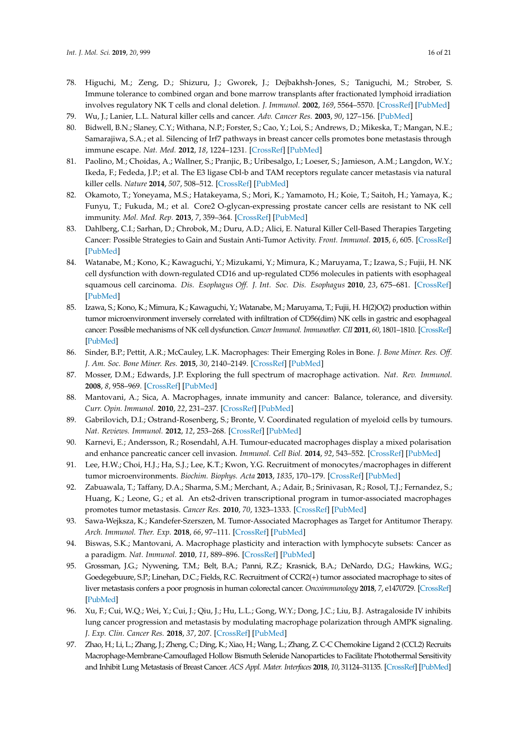- <span id="page-15-0"></span>78. Higuchi, M.; Zeng, D.; Shizuru, J.; Gworek, J.; Dejbakhsh-Jones, S.; Taniguchi, M.; Strober, S. Immune tolerance to combined organ and bone marrow transplants after fractionated lymphoid irradiation involves regulatory NK T cells and clonal deletion. *J. Immunol.* **2002**, *169*, 5564–5570. [\[CrossRef\]](http://dx.doi.org/10.4049/jimmunol.169.10.5564) [\[PubMed\]](http://www.ncbi.nlm.nih.gov/pubmed/12421933)
- <span id="page-15-1"></span>79. Wu, J.; Lanier, L.L. Natural killer cells and cancer. *Adv. Cancer Res.* **2003**, *90*, 127–156. [\[PubMed\]](http://www.ncbi.nlm.nih.gov/pubmed/14710949)
- <span id="page-15-2"></span>80. Bidwell, B.N.; Slaney, C.Y.; Withana, N.P.; Forster, S.; Cao, Y.; Loi, S.; Andrews, D.; Mikeska, T.; Mangan, N.E.; Samarajiwa, S.A.; et al. Silencing of Irf7 pathways in breast cancer cells promotes bone metastasis through immune escape. *Nat. Med.* **2012**, *18*, 1224–1231. [\[CrossRef\]](http://dx.doi.org/10.1038/nm.2830) [\[PubMed\]](http://www.ncbi.nlm.nih.gov/pubmed/22820642)
- <span id="page-15-3"></span>81. Paolino, M.; Choidas, A.; Wallner, S.; Pranjic, B.; Uribesalgo, I.; Loeser, S.; Jamieson, A.M.; Langdon, W.Y.; Ikeda, F.; Fededa, J.P.; et al. The E3 ligase Cbl-b and TAM receptors regulate cancer metastasis via natural killer cells. *Nature* **2014**, *507*, 508–512. [\[CrossRef\]](http://dx.doi.org/10.1038/nature12998) [\[PubMed\]](http://www.ncbi.nlm.nih.gov/pubmed/24553136)
- <span id="page-15-4"></span>82. Okamoto, T.; Yoneyama, M.S.; Hatakeyama, S.; Mori, K.; Yamamoto, H.; Koie, T.; Saitoh, H.; Yamaya, K.; Funyu, T.; Fukuda, M.; et al. Core2 O-glycan-expressing prostate cancer cells are resistant to NK cell immunity. *Mol. Med. Rep.* **2013**, *7*, 359–364. [\[CrossRef\]](http://dx.doi.org/10.3892/mmr.2012.1189) [\[PubMed\]](http://www.ncbi.nlm.nih.gov/pubmed/23165940)
- <span id="page-15-5"></span>83. Dahlberg, C.I.; Sarhan, D.; Chrobok, M.; Duru, A.D.; Alici, E. Natural Killer Cell-Based Therapies Targeting Cancer: Possible Strategies to Gain and Sustain Anti-Tumor Activity. *Front. Immunol.* **2015**, *6*, 605. [\[CrossRef\]](http://dx.doi.org/10.3389/fimmu.2015.00605) [\[PubMed\]](http://www.ncbi.nlm.nih.gov/pubmed/26648934)
- <span id="page-15-6"></span>84. Watanabe, M.; Kono, K.; Kawaguchi, Y.; Mizukami, Y.; Mimura, K.; Maruyama, T.; Izawa, S.; Fujii, H. NK cell dysfunction with down-regulated CD16 and up-regulated CD56 molecules in patients with esophageal squamous cell carcinoma. *Dis. Esophagus Off. J. Int. Soc. Dis. Esophagus* **2010**, *23*, 675–681. [\[CrossRef\]](http://dx.doi.org/10.1111/j.1442-2050.2010.01073.x) [\[PubMed\]](http://www.ncbi.nlm.nih.gov/pubmed/20545975)
- <span id="page-15-7"></span>85. Izawa, S.; Kono, K.; Mimura, K.; Kawaguchi, Y.; Watanabe, M.; Maruyama, T.; Fujii, H. H(2)O(2) production within tumor microenvironment inversely correlated with infiltration of CD56(dim) NK cells in gastric and esophageal cancer: Possible mechanisms of NK cell dysfunction. *Cancer Immunol. Immunother. CII* **2011**, *60*, 1801–1810. [\[CrossRef\]](http://dx.doi.org/10.1007/s00262-011-1082-7) [\[PubMed\]](http://www.ncbi.nlm.nih.gov/pubmed/21811786)
- <span id="page-15-8"></span>86. Sinder, B.P.; Pettit, A.R.; McCauley, L.K. Macrophages: Their Emerging Roles in Bone. *J. Bone Miner. Res. Off. J. Am. Soc. Bone Miner. Res.* **2015**, *30*, 2140–2149. [\[CrossRef\]](http://dx.doi.org/10.1002/jbmr.2735) [\[PubMed\]](http://www.ncbi.nlm.nih.gov/pubmed/26531055)
- <span id="page-15-9"></span>87. Mosser, D.M.; Edwards, J.P. Exploring the full spectrum of macrophage activation. *Nat. Rev. Immunol.* **2008**, *8*, 958–969. [\[CrossRef\]](http://dx.doi.org/10.1038/nri2448) [\[PubMed\]](http://www.ncbi.nlm.nih.gov/pubmed/19029990)
- 88. Mantovani, A.; Sica, A. Macrophages, innate immunity and cancer: Balance, tolerance, and diversity. *Curr. Opin. Immunol.* **2010**, *22*, 231–237. [\[CrossRef\]](http://dx.doi.org/10.1016/j.coi.2010.01.009) [\[PubMed\]](http://www.ncbi.nlm.nih.gov/pubmed/20144856)
- <span id="page-15-10"></span>89. Gabrilovich, D.I.; Ostrand-Rosenberg, S.; Bronte, V. Coordinated regulation of myeloid cells by tumours. *Nat. Reviews. Immunol.* **2012**, *12*, 253–268. [\[CrossRef\]](http://dx.doi.org/10.1038/nri3175) [\[PubMed\]](http://www.ncbi.nlm.nih.gov/pubmed/22437938)
- <span id="page-15-11"></span>90. Karnevi, E.; Andersson, R.; Rosendahl, A.H. Tumour-educated macrophages display a mixed polarisation and enhance pancreatic cancer cell invasion. *Immunol. Cell Biol.* **2014**, *92*, 543–552. [\[CrossRef\]](http://dx.doi.org/10.1038/icb.2014.22) [\[PubMed\]](http://www.ncbi.nlm.nih.gov/pubmed/24662521)
- <span id="page-15-12"></span>91. Lee, H.W.; Choi, H.J.; Ha, S.J.; Lee, K.T.; Kwon, Y.G. Recruitment of monocytes/macrophages in different tumor microenvironments. *Biochim. Biophys. Acta* **2013**, *1835*, 170–179. [\[CrossRef\]](http://dx.doi.org/10.1016/j.bbcan.2012.12.007) [\[PubMed\]](http://www.ncbi.nlm.nih.gov/pubmed/23287570)
- 92. Zabuawala, T.; Taffany, D.A.; Sharma, S.M.; Merchant, A.; Adair, B.; Srinivasan, R.; Rosol, T.J.; Fernandez, S.; Huang, K.; Leone, G.; et al. An ets2-driven transcriptional program in tumor-associated macrophages promotes tumor metastasis. *Cancer Res.* **2010**, *70*, 1323–1333. [\[CrossRef\]](http://dx.doi.org/10.1158/0008-5472.CAN-09-1474) [\[PubMed\]](http://www.ncbi.nlm.nih.gov/pubmed/20145133)
- <span id="page-15-13"></span>93. Sawa-Wejksza, K.; Kandefer-Szerszen, M. Tumor-Associated Macrophages as Target for Antitumor Therapy. *Arch. Immunol. Ther. Exp.* **2018**, *66*, 97–111. [\[CrossRef\]](http://dx.doi.org/10.1007/s00005-017-0480-8) [\[PubMed\]](http://www.ncbi.nlm.nih.gov/pubmed/28660349)
- <span id="page-15-14"></span>94. Biswas, S.K.; Mantovani, A. Macrophage plasticity and interaction with lymphocyte subsets: Cancer as a paradigm. *Nat. Immunol.* **2010**, *11*, 889–896. [\[CrossRef\]](http://dx.doi.org/10.1038/ni.1937) [\[PubMed\]](http://www.ncbi.nlm.nih.gov/pubmed/20856220)
- <span id="page-15-15"></span>95. Grossman, J.G.; Nywening, T.M.; Belt, B.A.; Panni, R.Z.; Krasnick, B.A.; DeNardo, D.G.; Hawkins, W.G.; Goedegebuure, S.P.; Linehan, D.C.; Fields, R.C. Recruitment of CCR2(+) tumor associated macrophage to sites of liver metastasis confers a poor prognosis in human colorectal cancer. *Oncoimmunology* **2018**, *7*, e1470729. [\[CrossRef\]](http://dx.doi.org/10.1080/2162402X.2018.1470729) [\[PubMed\]](http://www.ncbi.nlm.nih.gov/pubmed/30228938)
- 96. Xu, F.; Cui, W.Q.; Wei, Y.; Cui, J.; Qiu, J.; Hu, L.L.; Gong, W.Y.; Dong, J.C.; Liu, B.J. Astragaloside IV inhibits lung cancer progression and metastasis by modulating macrophage polarization through AMPK signaling. *J. Exp. Clin. Cancer Res.* **2018**, *37*, 207. [\[CrossRef\]](http://dx.doi.org/10.1186/s13046-018-0878-0) [\[PubMed\]](http://www.ncbi.nlm.nih.gov/pubmed/30157903)
- <span id="page-15-16"></span>97. Zhao, H.; Li, L.; Zhang, J.; Zheng, C.; Ding, K.; Xiao, H.; Wang, L.; Zhang, Z. C-C Chemokine Ligand 2 (CCL2) Recruits Macrophage-Membrane-Camouflaged Hollow Bismuth Selenide Nanoparticles to Facilitate Photothermal Sensitivity and Inhibit Lung Metastasis of Breast Cancer. *ACS Appl. Mater. Interfaces* **2018**, *10*, 31124–31135. [\[CrossRef\]](http://dx.doi.org/10.1021/acsami.8b11645) [\[PubMed\]](http://www.ncbi.nlm.nih.gov/pubmed/30141614)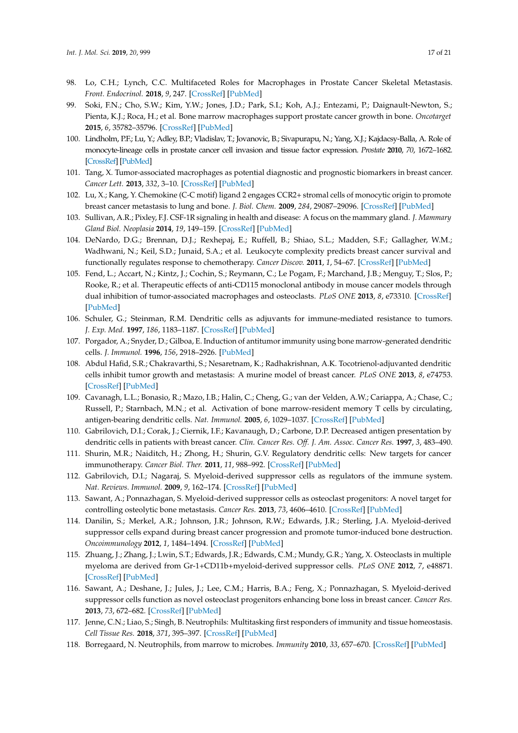- <span id="page-16-0"></span>98. Lo, C.H.; Lynch, C.C. Multifaceted Roles for Macrophages in Prostate Cancer Skeletal Metastasis. *Front. Endocrinol.* **2018**, *9*, 247. [\[CrossRef\]](http://dx.doi.org/10.3389/fendo.2018.00247) [\[PubMed\]](http://www.ncbi.nlm.nih.gov/pubmed/29867776)
- <span id="page-16-1"></span>99. Soki, F.N.; Cho, S.W.; Kim, Y.W.; Jones, J.D.; Park, S.I.; Koh, A.J.; Entezami, P.; Daignault-Newton, S.; Pienta, K.J.; Roca, H.; et al. Bone marrow macrophages support prostate cancer growth in bone. *Oncotarget* **2015**, *6*, 35782–35796. [\[CrossRef\]](http://dx.doi.org/10.18632/oncotarget.6042) [\[PubMed\]](http://www.ncbi.nlm.nih.gov/pubmed/26459393)
- <span id="page-16-2"></span>100. Lindholm, P.F.; Lu, Y.; Adley, B.P.; Vladislav, T.; Jovanovic, B.; Sivapurapu, N.; Yang, X.J.; Kajdacsy-Balla, A. Role of monocyte-lineage cells in prostate cancer cell invasion and tissue factor expression. *Prostate* **2010**, *70*, 1672–1682. [\[CrossRef\]](http://dx.doi.org/10.1002/pros.21202) [\[PubMed\]](http://www.ncbi.nlm.nih.gov/pubmed/20607747)
- <span id="page-16-3"></span>101. Tang, X. Tumor-associated macrophages as potential diagnostic and prognostic biomarkers in breast cancer. *Cancer Lett.* **2013**, *332*, 3–10. [\[CrossRef\]](http://dx.doi.org/10.1016/j.canlet.2013.01.024) [\[PubMed\]](http://www.ncbi.nlm.nih.gov/pubmed/23348699)
- <span id="page-16-4"></span>102. Lu, X.; Kang, Y. Chemokine (C-C motif) ligand 2 engages CCR2+ stromal cells of monocytic origin to promote breast cancer metastasis to lung and bone. *J. Biol. Chem.* **2009**, *284*, 29087–29096. [\[CrossRef\]](http://dx.doi.org/10.1074/jbc.M109.035899) [\[PubMed\]](http://www.ncbi.nlm.nih.gov/pubmed/19720836)
- <span id="page-16-5"></span>103. Sullivan, A.R.; Pixley, F.J. CSF-1R signaling in health and disease: A focus on the mammary gland. *J. Mammary Gland Biol. Neoplasia* **2014**, *19*, 149–159. [\[CrossRef\]](http://dx.doi.org/10.1007/s10911-014-9320-1) [\[PubMed\]](http://www.ncbi.nlm.nih.gov/pubmed/24912655)
- <span id="page-16-6"></span>104. DeNardo, D.G.; Brennan, D.J.; Rexhepaj, E.; Ruffell, B.; Shiao, S.L.; Madden, S.F.; Gallagher, W.M.; Wadhwani, N.; Keil, S.D.; Junaid, S.A.; et al. Leukocyte complexity predicts breast cancer survival and functionally regulates response to chemotherapy. *Cancer Discov.* **2011**, *1*, 54–67. [\[CrossRef\]](http://dx.doi.org/10.1158/2159-8274.CD-10-0028) [\[PubMed\]](http://www.ncbi.nlm.nih.gov/pubmed/22039576)
- <span id="page-16-7"></span>105. Fend, L.; Accart, N.; Kintz, J.; Cochin, S.; Reymann, C.; Le Pogam, F.; Marchand, J.B.; Menguy, T.; Slos, P.; Rooke, R.; et al. Therapeutic effects of anti-CD115 monoclonal antibody in mouse cancer models through dual inhibition of tumor-associated macrophages and osteoclasts. *PLoS ONE* **2013**, *8*, e73310. [\[CrossRef\]](http://dx.doi.org/10.1371/journal.pone.0073310) [\[PubMed\]](http://www.ncbi.nlm.nih.gov/pubmed/24019914)
- <span id="page-16-8"></span>106. Schuler, G.; Steinman, R.M. Dendritic cells as adjuvants for immune-mediated resistance to tumors. *J. Exp. Med.* **1997**, *186*, 1183–1187. [\[CrossRef\]](http://dx.doi.org/10.1084/jem.186.8.1183) [\[PubMed\]](http://www.ncbi.nlm.nih.gov/pubmed/9379142)
- <span id="page-16-9"></span>107. Porgador, A.; Snyder, D.; Gilboa, E. Induction of antitumor immunity using bone marrow-generated dendritic cells. *J. Immunol.* **1996**, *156*, 2918–2926. [\[PubMed\]](http://www.ncbi.nlm.nih.gov/pubmed/8609412)
- <span id="page-16-10"></span>108. Abdul Hafid, S.R.; Chakravarthi, S.; Nesaretnam, K.; Radhakrishnan, A.K. Tocotrienol-adjuvanted dendritic cells inhibit tumor growth and metastasis: A murine model of breast cancer. *PLoS ONE* **2013**, *8*, e74753. [\[CrossRef\]](http://dx.doi.org/10.1371/journal.pone.0074753) [\[PubMed\]](http://www.ncbi.nlm.nih.gov/pubmed/24069344)
- <span id="page-16-11"></span>109. Cavanagh, L.L.; Bonasio, R.; Mazo, I.B.; Halin, C.; Cheng, G.; van der Velden, A.W.; Cariappa, A.; Chase, C.; Russell, P.; Starnbach, M.N.; et al. Activation of bone marrow-resident memory T cells by circulating, antigen-bearing dendritic cells. *Nat. Immunol.* **2005**, *6*, 1029–1037. [\[CrossRef\]](http://dx.doi.org/10.1038/ni1249) [\[PubMed\]](http://www.ncbi.nlm.nih.gov/pubmed/16155571)
- <span id="page-16-12"></span>110. Gabrilovich, D.I.; Corak, J.; Ciernik, I.F.; Kavanaugh, D.; Carbone, D.P. Decreased antigen presentation by dendritic cells in patients with breast cancer. *Clin. Cancer Res. Off. J. Am. Assoc. Cancer Res.* **1997**, *3*, 483–490.
- <span id="page-16-13"></span>111. Shurin, M.R.; Naiditch, H.; Zhong, H.; Shurin, G.V. Regulatory dendritic cells: New targets for cancer immunotherapy. *Cancer Biol. Ther.* **2011**, *11*, 988–992. [\[CrossRef\]](http://dx.doi.org/10.4161/cbt.11.11.15543) [\[PubMed\]](http://www.ncbi.nlm.nih.gov/pubmed/21474998)
- <span id="page-16-14"></span>112. Gabrilovich, D.I.; Nagaraj, S. Myeloid-derived suppressor cells as regulators of the immune system. *Nat. Reviews. Immunol.* **2009**, *9*, 162–174. [\[CrossRef\]](http://dx.doi.org/10.1038/nri2506) [\[PubMed\]](http://www.ncbi.nlm.nih.gov/pubmed/19197294)
- <span id="page-16-15"></span>113. Sawant, A.; Ponnazhagan, S. Myeloid-derived suppressor cells as osteoclast progenitors: A novel target for controlling osteolytic bone metastasis. *Cancer Res.* **2013**, *73*, 4606–4610. [\[CrossRef\]](http://dx.doi.org/10.1158/0008-5472.CAN-13-0305) [\[PubMed\]](http://www.ncbi.nlm.nih.gov/pubmed/23887974)
- <span id="page-16-16"></span>114. Danilin, S.; Merkel, A.R.; Johnson, J.R.; Johnson, R.W.; Edwards, J.R.; Sterling, J.A. Myeloid-derived suppressor cells expand during breast cancer progression and promote tumor-induced bone destruction. *Oncoimmunology* **2012**, *1*, 1484–1494. [\[CrossRef\]](http://dx.doi.org/10.4161/onci.21990) [\[PubMed\]](http://www.ncbi.nlm.nih.gov/pubmed/23264895)
- <span id="page-16-17"></span>115. Zhuang, J.; Zhang, J.; Lwin, S.T.; Edwards, J.R.; Edwards, C.M.; Mundy, G.R.; Yang, X. Osteoclasts in multiple myeloma are derived from Gr-1+CD11b+myeloid-derived suppressor cells. *PLoS ONE* **2012**, *7*, e48871. [\[CrossRef\]](http://dx.doi.org/10.1371/journal.pone.0048871) [\[PubMed\]](http://www.ncbi.nlm.nih.gov/pubmed/23173040)
- <span id="page-16-18"></span>116. Sawant, A.; Deshane, J.; Jules, J.; Lee, C.M.; Harris, B.A.; Feng, X.; Ponnazhagan, S. Myeloid-derived suppressor cells function as novel osteoclast progenitors enhancing bone loss in breast cancer. *Cancer Res.* **2013**, *73*, 672–682. [\[CrossRef\]](http://dx.doi.org/10.1158/0008-5472.CAN-12-2202) [\[PubMed\]](http://www.ncbi.nlm.nih.gov/pubmed/23243021)
- <span id="page-16-19"></span>117. Jenne, C.N.; Liao, S.; Singh, B. Neutrophils: Multitasking first responders of immunity and tissue homeostasis. *Cell Tissue Res.* **2018**, *371*, 395–397. [\[CrossRef\]](http://dx.doi.org/10.1007/s00441-018-2802-5) [\[PubMed\]](http://www.ncbi.nlm.nih.gov/pubmed/29392468)
- <span id="page-16-20"></span>118. Borregaard, N. Neutrophils, from marrow to microbes. *Immunity* **2010**, *33*, 657–670. [\[CrossRef\]](http://dx.doi.org/10.1016/j.immuni.2010.11.011) [\[PubMed\]](http://www.ncbi.nlm.nih.gov/pubmed/21094463)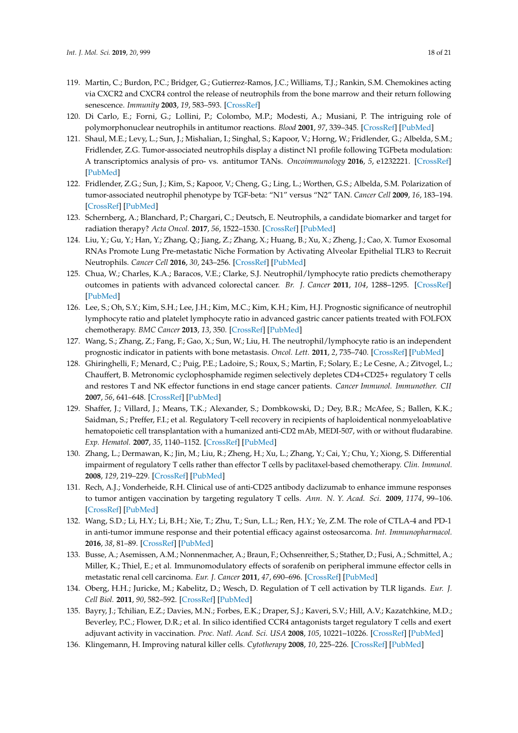- <span id="page-17-0"></span>119. Martin, C.; Burdon, P.C.; Bridger, G.; Gutierrez-Ramos, J.C.; Williams, T.J.; Rankin, S.M. Chemokines acting via CXCR2 and CXCR4 control the release of neutrophils from the bone marrow and their return following senescence. *Immunity* **2003**, *19*, 583–593. [\[CrossRef\]](http://dx.doi.org/10.1016/S1074-7613(03)00263-2)
- <span id="page-17-1"></span>120. Di Carlo, E.; Forni, G.; Lollini, P.; Colombo, M.P.; Modesti, A.; Musiani, P. The intriguing role of polymorphonuclear neutrophils in antitumor reactions. *Blood* **2001**, *97*, 339–345. [\[CrossRef\]](http://dx.doi.org/10.1182/blood.V97.2.339) [\[PubMed\]](http://www.ncbi.nlm.nih.gov/pubmed/11154206)
- <span id="page-17-2"></span>121. Shaul, M.E.; Levy, L.; Sun, J.; Mishalian, I.; Singhal, S.; Kapoor, V.; Horng, W.; Fridlender, G.; Albelda, S.M.; Fridlender, Z.G. Tumor-associated neutrophils display a distinct N1 profile following TGFbeta modulation: A transcriptomics analysis of pro- vs. antitumor TANs. *Oncoimmunology* **2016**, *5*, e1232221. [\[CrossRef\]](http://dx.doi.org/10.1080/2162402X.2016.1232221) [\[PubMed\]](http://www.ncbi.nlm.nih.gov/pubmed/27999744)
- <span id="page-17-3"></span>122. Fridlender, Z.G.; Sun, J.; Kim, S.; Kapoor, V.; Cheng, G.; Ling, L.; Worthen, G.S.; Albelda, S.M. Polarization of tumor-associated neutrophil phenotype by TGF-beta: "N1" versus "N2" TAN. *Cancer Cell* **2009**, *16*, 183–194. [\[CrossRef\]](http://dx.doi.org/10.1016/j.ccr.2009.06.017) [\[PubMed\]](http://www.ncbi.nlm.nih.gov/pubmed/19732719)
- <span id="page-17-4"></span>123. Schernberg, A.; Blanchard, P.; Chargari, C.; Deutsch, E. Neutrophils, a candidate biomarker and target for radiation therapy? *Acta Oncol.* **2017**, *56*, 1522–1530. [\[CrossRef\]](http://dx.doi.org/10.1080/0284186X.2017.1348623) [\[PubMed\]](http://www.ncbi.nlm.nih.gov/pubmed/28835188)
- <span id="page-17-5"></span>124. Liu, Y.; Gu, Y.; Han, Y.; Zhang, Q.; Jiang, Z.; Zhang, X.; Huang, B.; Xu, X.; Zheng, J.; Cao, X. Tumor Exosomal RNAs Promote Lung Pre-metastatic Niche Formation by Activating Alveolar Epithelial TLR3 to Recruit Neutrophils. *Cancer Cell* **2016**, *30*, 243–256. [\[CrossRef\]](http://dx.doi.org/10.1016/j.ccell.2016.06.021) [\[PubMed\]](http://www.ncbi.nlm.nih.gov/pubmed/27505671)
- <span id="page-17-6"></span>125. Chua, W.; Charles, K.A.; Baracos, V.E.; Clarke, S.J. Neutrophil/lymphocyte ratio predicts chemotherapy outcomes in patients with advanced colorectal cancer. *Br. J. Cancer* **2011**, *104*, 1288–1295. [\[CrossRef\]](http://dx.doi.org/10.1038/bjc.2011.100) [\[PubMed\]](http://www.ncbi.nlm.nih.gov/pubmed/21448173)
- <span id="page-17-7"></span>126. Lee, S.; Oh, S.Y.; Kim, S.H.; Lee, J.H.; Kim, M.C.; Kim, K.H.; Kim, H.J. Prognostic significance of neutrophil lymphocyte ratio and platelet lymphocyte ratio in advanced gastric cancer patients treated with FOLFOX chemotherapy. *BMC Cancer* **2013**, *13*, 350. [\[CrossRef\]](http://dx.doi.org/10.1186/1471-2407-13-350) [\[PubMed\]](http://www.ncbi.nlm.nih.gov/pubmed/23876227)
- <span id="page-17-8"></span>127. Wang, S.; Zhang, Z.; Fang, F.; Gao, X.; Sun, W.; Liu, H. The neutrophil/lymphocyte ratio is an independent prognostic indicator in patients with bone metastasis. *Oncol. Lett.* **2011**, *2*, 735–740. [\[CrossRef\]](http://dx.doi.org/10.3892/ol.2011.304) [\[PubMed\]](http://www.ncbi.nlm.nih.gov/pubmed/22848258)
- <span id="page-17-9"></span>128. Ghiringhelli, F.; Menard, C.; Puig, P.E.; Ladoire, S.; Roux, S.; Martin, F.; Solary, E.; Le Cesne, A.; Zitvogel, L.; Chauffert, B. Metronomic cyclophosphamide regimen selectively depletes CD4+CD25+ regulatory T cells and restores T and NK effector functions in end stage cancer patients. *Cancer Immunol. Immunother. CII* **2007**, *56*, 641–648. [\[CrossRef\]](http://dx.doi.org/10.1007/s00262-006-0225-8) [\[PubMed\]](http://www.ncbi.nlm.nih.gov/pubmed/16960692)
- 129. Shaffer, J.; Villard, J.; Means, T.K.; Alexander, S.; Dombkowski, D.; Dey, B.R.; McAfee, S.; Ballen, K.K.; Saidman, S.; Preffer, F.I.; et al. Regulatory T-cell recovery in recipients of haploidentical nonmyeloablative hematopoietic cell transplantation with a humanized anti-CD2 mAb, MEDI-507, with or without fludarabine. *Exp. Hematol.* **2007**, *35*, 1140–1152. [\[CrossRef\]](http://dx.doi.org/10.1016/j.exphem.2007.03.018) [\[PubMed\]](http://www.ncbi.nlm.nih.gov/pubmed/17588483)
- <span id="page-17-10"></span>130. Zhang, L.; Dermawan, K.; Jin, M.; Liu, R.; Zheng, H.; Xu, L.; Zhang, Y.; Cai, Y.; Chu, Y.; Xiong, S. Differential impairment of regulatory T cells rather than effector T cells by paclitaxel-based chemotherapy. *Clin. Immunol.* **2008**, *129*, 219–229. [\[CrossRef\]](http://dx.doi.org/10.1016/j.clim.2008.07.013) [\[PubMed\]](http://www.ncbi.nlm.nih.gov/pubmed/18771959)
- <span id="page-17-11"></span>131. Rech, A.J.; Vonderheide, R.H. Clinical use of anti-CD25 antibody daclizumab to enhance immune responses to tumor antigen vaccination by targeting regulatory T cells. *Ann. N. Y. Acad. Sci.* **2009**, *1174*, 99–106. [\[CrossRef\]](http://dx.doi.org/10.1111/j.1749-6632.2009.04939.x) [\[PubMed\]](http://www.ncbi.nlm.nih.gov/pubmed/19769742)
- <span id="page-17-12"></span>132. Wang, S.D.; Li, H.Y.; Li, B.H.; Xie, T.; Zhu, T.; Sun, L.L.; Ren, H.Y.; Ye, Z.M. The role of CTLA-4 and PD-1 in anti-tumor immune response and their potential efficacy against osteosarcoma. *Int. Immunopharmacol.* **2016**, *38*, 81–89. [\[CrossRef\]](http://dx.doi.org/10.1016/j.intimp.2016.05.016) [\[PubMed\]](http://www.ncbi.nlm.nih.gov/pubmed/27258185)
- <span id="page-17-13"></span>133. Busse, A.; Asemissen, A.M.; Nonnenmacher, A.; Braun, F.; Ochsenreither, S.; Stather, D.; Fusi, A.; Schmittel, A.; Miller, K.; Thiel, E.; et al. Immunomodulatory effects of sorafenib on peripheral immune effector cells in metastatic renal cell carcinoma. *Eur. J. Cancer* **2011**, *47*, 690–696. [\[CrossRef\]](http://dx.doi.org/10.1016/j.ejca.2010.11.021) [\[PubMed\]](http://www.ncbi.nlm.nih.gov/pubmed/21215610)
- <span id="page-17-14"></span>134. Oberg, H.H.; Juricke, M.; Kabelitz, D.; Wesch, D. Regulation of T cell activation by TLR ligands. *Eur. J. Cell Biol.* **2011**, *90*, 582–592. [\[CrossRef\]](http://dx.doi.org/10.1016/j.ejcb.2010.11.012) [\[PubMed\]](http://www.ncbi.nlm.nih.gov/pubmed/21292344)
- <span id="page-17-15"></span>135. Bayry, J.; Tchilian, E.Z.; Davies, M.N.; Forbes, E.K.; Draper, S.J.; Kaveri, S.V.; Hill, A.V.; Kazatchkine, M.D.; Beverley, P.C.; Flower, D.R.; et al. In silico identified CCR4 antagonists target regulatory T cells and exert adjuvant activity in vaccination. *Proc. Natl. Acad. Sci. USA* **2008**, *105*, 10221–10226. [\[CrossRef\]](http://dx.doi.org/10.1073/pnas.0803453105) [\[PubMed\]](http://www.ncbi.nlm.nih.gov/pubmed/18621704)
- <span id="page-17-16"></span>136. Klingemann, H. Improving natural killer cells. *Cytotherapy* **2008**, *10*, 225–226. [\[CrossRef\]](http://dx.doi.org/10.1080/14653240802028376) [\[PubMed\]](http://www.ncbi.nlm.nih.gov/pubmed/18418767)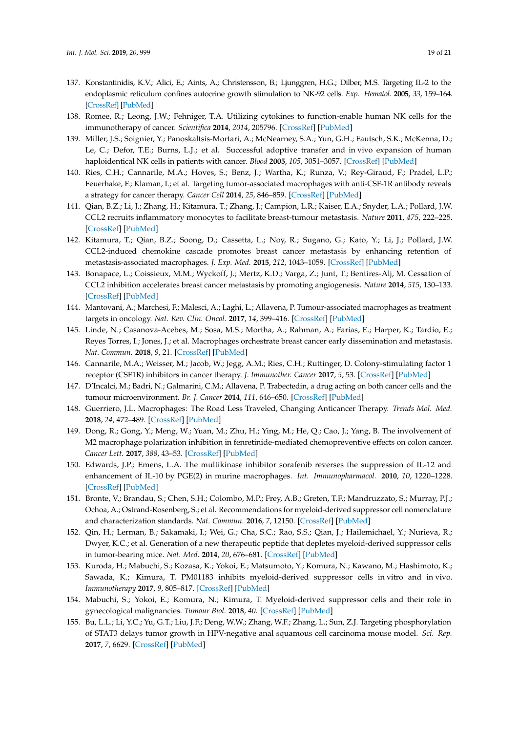- <span id="page-18-0"></span>137. Konstantinidis, K.V.; Alici, E.; Aints, A.; Christensson, B.; Ljunggren, H.G.; Dilber, M.S. Targeting IL-2 to the endoplasmic reticulum confines autocrine growth stimulation to NK-92 cells. *Exp. Hematol.* **2005**, *33*, 159–164. [\[CrossRef\]](http://dx.doi.org/10.1016/j.exphem.2004.11.003) [\[PubMed\]](http://www.ncbi.nlm.nih.gov/pubmed/15676209)
- <span id="page-18-1"></span>138. Romee, R.; Leong, J.W.; Fehniger, T.A. Utilizing cytokines to function-enable human NK cells for the immunotherapy of cancer. *Scientifica* **2014**, *2014*, 205796. [\[CrossRef\]](http://dx.doi.org/10.1155/2014/205796) [\[PubMed\]](http://www.ncbi.nlm.nih.gov/pubmed/25054077)
- <span id="page-18-2"></span>139. Miller, J.S.; Soignier, Y.; Panoskaltsis-Mortari, A.; McNearney, S.A.; Yun, G.H.; Fautsch, S.K.; McKenna, D.; Le, C.; Defor, T.E.; Burns, L.J.; et al. Successful adoptive transfer and in vivo expansion of human haploidentical NK cells in patients with cancer. *Blood* **2005**, *105*, 3051–3057. [\[CrossRef\]](http://dx.doi.org/10.1182/blood-2004-07-2974) [\[PubMed\]](http://www.ncbi.nlm.nih.gov/pubmed/15632206)
- <span id="page-18-3"></span>140. Ries, C.H.; Cannarile, M.A.; Hoves, S.; Benz, J.; Wartha, K.; Runza, V.; Rey-Giraud, F.; Pradel, L.P.; Feuerhake, F.; Klaman, I.; et al. Targeting tumor-associated macrophages with anti-CSF-1R antibody reveals a strategy for cancer therapy. *Cancer Cell* **2014**, *25*, 846–859. [\[CrossRef\]](http://dx.doi.org/10.1016/j.ccr.2014.05.016) [\[PubMed\]](http://www.ncbi.nlm.nih.gov/pubmed/24898549)
- <span id="page-18-4"></span>141. Qian, B.Z.; Li, J.; Zhang, H.; Kitamura, T.; Zhang, J.; Campion, L.R.; Kaiser, E.A.; Snyder, L.A.; Pollard, J.W. CCL2 recruits inflammatory monocytes to facilitate breast-tumour metastasis. *Nature* **2011**, *475*, 222–225. [\[CrossRef\]](http://dx.doi.org/10.1038/nature10138) [\[PubMed\]](http://www.ncbi.nlm.nih.gov/pubmed/21654748)
- <span id="page-18-5"></span>142. Kitamura, T.; Qian, B.Z.; Soong, D.; Cassetta, L.; Noy, R.; Sugano, G.; Kato, Y.; Li, J.; Pollard, J.W. CCL2-induced chemokine cascade promotes breast cancer metastasis by enhancing retention of metastasis-associated macrophages. *J. Exp. Med.* **2015**, *212*, 1043–1059. [\[CrossRef\]](http://dx.doi.org/10.1084/jem.20141836) [\[PubMed\]](http://www.ncbi.nlm.nih.gov/pubmed/26056232)
- <span id="page-18-6"></span>143. Bonapace, L.; Coissieux, M.M.; Wyckoff, J.; Mertz, K.D.; Varga, Z.; Junt, T.; Bentires-Alj, M. Cessation of CCL2 inhibition accelerates breast cancer metastasis by promoting angiogenesis. *Nature* **2014**, *515*, 130–133. [\[CrossRef\]](http://dx.doi.org/10.1038/nature13862) [\[PubMed\]](http://www.ncbi.nlm.nih.gov/pubmed/25337873)
- <span id="page-18-7"></span>144. Mantovani, A.; Marchesi, F.; Malesci, A.; Laghi, L.; Allavena, P. Tumour-associated macrophages as treatment targets in oncology. *Nat. Rev. Clin. Oncol.* **2017**, *14*, 399–416. [\[CrossRef\]](http://dx.doi.org/10.1038/nrclinonc.2016.217) [\[PubMed\]](http://www.ncbi.nlm.nih.gov/pubmed/28117416)
- 145. Linde, N.; Casanova-Acebes, M.; Sosa, M.S.; Mortha, A.; Rahman, A.; Farias, E.; Harper, K.; Tardio, E.; Reyes Torres, I.; Jones, J.; et al. Macrophages orchestrate breast cancer early dissemination and metastasis. *Nat. Commun.* **2018**, *9*, 21. [\[CrossRef\]](http://dx.doi.org/10.1038/s41467-017-02481-5) [\[PubMed\]](http://www.ncbi.nlm.nih.gov/pubmed/29295986)
- <span id="page-18-8"></span>146. Cannarile, M.A.; Weisser, M.; Jacob, W.; Jegg, A.M.; Ries, C.H.; Ruttinger, D. Colony-stimulating factor 1 receptor (CSF1R) inhibitors in cancer therapy. *J. Immunother. Cancer* **2017**, *5*, 53. [\[CrossRef\]](http://dx.doi.org/10.1186/s40425-017-0257-y) [\[PubMed\]](http://www.ncbi.nlm.nih.gov/pubmed/28716061)
- <span id="page-18-9"></span>147. D'Incalci, M.; Badri, N.; Galmarini, C.M.; Allavena, P. Trabectedin, a drug acting on both cancer cells and the tumour microenvironment. *Br. J. Cancer* **2014**, *111*, 646–650. [\[CrossRef\]](http://dx.doi.org/10.1038/bjc.2014.149) [\[PubMed\]](http://www.ncbi.nlm.nih.gov/pubmed/24755886)
- <span id="page-18-10"></span>148. Guerriero, J.L. Macrophages: The Road Less Traveled, Changing Anticancer Therapy. *Trends Mol. Med.* **2018**, *24*, 472–489. [\[CrossRef\]](http://dx.doi.org/10.1016/j.molmed.2018.03.006) [\[PubMed\]](http://www.ncbi.nlm.nih.gov/pubmed/29655673)
- <span id="page-18-11"></span>149. Dong, R.; Gong, Y.; Meng, W.; Yuan, M.; Zhu, H.; Ying, M.; He, Q.; Cao, J.; Yang, B. The involvement of M2 macrophage polarization inhibition in fenretinide-mediated chemopreventive effects on colon cancer. *Cancer Lett.* **2017**, *388*, 43–53. [\[CrossRef\]](http://dx.doi.org/10.1016/j.canlet.2016.11.029) [\[PubMed\]](http://www.ncbi.nlm.nih.gov/pubmed/27913199)
- <span id="page-18-12"></span>150. Edwards, J.P.; Emens, L.A. The multikinase inhibitor sorafenib reverses the suppression of IL-12 and enhancement of IL-10 by PGE(2) in murine macrophages. *Int. Immunopharmacol.* **2010**, *10*, 1220–1228. [\[CrossRef\]](http://dx.doi.org/10.1016/j.intimp.2010.07.002) [\[PubMed\]](http://www.ncbi.nlm.nih.gov/pubmed/20637838)
- <span id="page-18-13"></span>151. Bronte, V.; Brandau, S.; Chen, S.H.; Colombo, M.P.; Frey, A.B.; Greten, T.F.; Mandruzzato, S.; Murray, P.J.; Ochoa, A.; Ostrand-Rosenberg, S.; et al. Recommendations for myeloid-derived suppressor cell nomenclature and characterization standards. *Nat. Commun.* **2016**, *7*, 12150. [\[CrossRef\]](http://dx.doi.org/10.1038/ncomms12150) [\[PubMed\]](http://www.ncbi.nlm.nih.gov/pubmed/27381735)
- <span id="page-18-14"></span>152. Qin, H.; Lerman, B.; Sakamaki, I.; Wei, G.; Cha, S.C.; Rao, S.S.; Qian, J.; Hailemichael, Y.; Nurieva, R.; Dwyer, K.C.; et al. Generation of a new therapeutic peptide that depletes myeloid-derived suppressor cells in tumor-bearing mice. *Nat. Med.* **2014**, *20*, 676–681. [\[CrossRef\]](http://dx.doi.org/10.1038/nm.3560) [\[PubMed\]](http://www.ncbi.nlm.nih.gov/pubmed/24859530)
- <span id="page-18-15"></span>153. Kuroda, H.; Mabuchi, S.; Kozasa, K.; Yokoi, E.; Matsumoto, Y.; Komura, N.; Kawano, M.; Hashimoto, K.; Sawada, K.; Kimura, T. PM01183 inhibits myeloid-derived suppressor cells in vitro and in vivo. *Immunotherapy* **2017**, *9*, 805–817. [\[CrossRef\]](http://dx.doi.org/10.2217/imt-2017-0046) [\[PubMed\]](http://www.ncbi.nlm.nih.gov/pubmed/28877631)
- <span id="page-18-16"></span>154. Mabuchi, S.; Yokoi, E.; Komura, N.; Kimura, T. Myeloid-derived suppressor cells and their role in gynecological malignancies. *Tumour Biol.* **2018**, *40*. [\[CrossRef\]](http://dx.doi.org/10.1177/1010428318776485) [\[PubMed\]](http://www.ncbi.nlm.nih.gov/pubmed/30074452)
- <span id="page-18-17"></span>155. Bu, L.L.; Li, Y.C.; Yu, G.T.; Liu, J.F.; Deng, W.W.; Zhang, W.F.; Zhang, L.; Sun, Z.J. Targeting phosphorylation of STAT3 delays tumor growth in HPV-negative anal squamous cell carcinoma mouse model. *Sci. Rep.* **2017**, *7*, 6629. [\[CrossRef\]](http://dx.doi.org/10.1038/s41598-017-06643-9) [\[PubMed\]](http://www.ncbi.nlm.nih.gov/pubmed/28747781)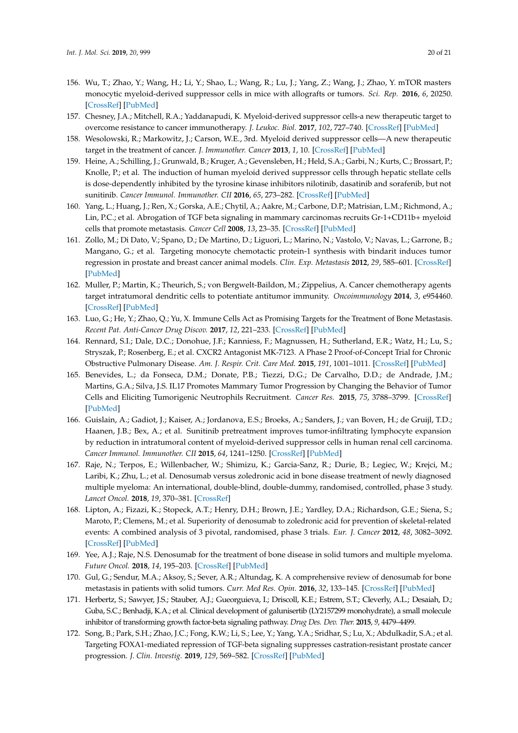- <span id="page-19-0"></span>156. Wu, T.; Zhao, Y.; Wang, H.; Li, Y.; Shao, L.; Wang, R.; Lu, J.; Yang, Z.; Wang, J.; Zhao, Y. mTOR masters monocytic myeloid-derived suppressor cells in mice with allografts or tumors. *Sci. Rep.* **2016**, *6*, 20250. [\[CrossRef\]](http://dx.doi.org/10.1038/srep20250) [\[PubMed\]](http://www.ncbi.nlm.nih.gov/pubmed/26833095)
- <span id="page-19-1"></span>157. Chesney, J.A.; Mitchell, R.A.; Yaddanapudi, K. Myeloid-derived suppressor cells-a new therapeutic target to overcome resistance to cancer immunotherapy. *J. Leukoc. Biol.* **2017**, *102*, 727–740. [\[CrossRef\]](http://dx.doi.org/10.1189/jlb.5VMR1116-458RRR) [\[PubMed\]](http://www.ncbi.nlm.nih.gov/pubmed/28546500)
- <span id="page-19-2"></span>158. Wesolowski, R.; Markowitz, J.; Carson, W.E., 3rd. Myeloid derived suppressor cells—A new therapeutic target in the treatment of cancer. *J. Immunother. Cancer* **2013**, *1*, 10. [\[CrossRef\]](http://dx.doi.org/10.1186/2051-1426-1-10) [\[PubMed\]](http://www.ncbi.nlm.nih.gov/pubmed/24829747)
- <span id="page-19-3"></span>159. Heine, A.; Schilling, J.; Grunwald, B.; Kruger, A.; Gevensleben, H.; Held, S.A.; Garbi, N.; Kurts, C.; Brossart, P.; Knolle, P.; et al. The induction of human myeloid derived suppressor cells through hepatic stellate cells is dose-dependently inhibited by the tyrosine kinase inhibitors nilotinib, dasatinib and sorafenib, but not sunitinib. *Cancer Immunol. Immunother. CII* **2016**, *65*, 273–282. [\[CrossRef\]](http://dx.doi.org/10.1007/s00262-015-1790-5) [\[PubMed\]](http://www.ncbi.nlm.nih.gov/pubmed/26786874)
- <span id="page-19-4"></span>160. Yang, L.; Huang, J.; Ren, X.; Gorska, A.E.; Chytil, A.; Aakre, M.; Carbone, D.P.; Matrisian, L.M.; Richmond, A.; Lin, P.C.; et al. Abrogation of TGF beta signaling in mammary carcinomas recruits Gr-1+CD11b+ myeloid cells that promote metastasis. *Cancer Cell* **2008**, *13*, 23–35. [\[CrossRef\]](http://dx.doi.org/10.1016/j.ccr.2007.12.004) [\[PubMed\]](http://www.ncbi.nlm.nih.gov/pubmed/18167337)
- <span id="page-19-5"></span>161. Zollo, M.; Di Dato, V.; Spano, D.; De Martino, D.; Liguori, L.; Marino, N.; Vastolo, V.; Navas, L.; Garrone, B.; Mangano, G.; et al. Targeting monocyte chemotactic protein-1 synthesis with bindarit induces tumor regression in prostate and breast cancer animal models. *Clin. Exp. Metastasis* **2012**, *29*, 585–601. [\[CrossRef\]](http://dx.doi.org/10.1007/s10585-012-9473-5) [\[PubMed\]](http://www.ncbi.nlm.nih.gov/pubmed/22484917)
- <span id="page-19-6"></span>162. Muller, P.; Martin, K.; Theurich, S.; von Bergwelt-Baildon, M.; Zippelius, A. Cancer chemotherapy agents target intratumoral dendritic cells to potentiate antitumor immunity. *Oncoimmunology* **2014**, *3*, e954460. [\[CrossRef\]](http://dx.doi.org/10.4161/21624011.2014.954460) [\[PubMed\]](http://www.ncbi.nlm.nih.gov/pubmed/25610745)
- <span id="page-19-7"></span>163. Luo, G.; He, Y.; Zhao, Q.; Yu, X. Immune Cells Act as Promising Targets for the Treatment of Bone Metastasis. *Recent Pat. Anti-Cancer Drug Discov.* **2017**, *12*, 221–233. [\[CrossRef\]](http://dx.doi.org/10.2174/1574892812666170606123113) [\[PubMed\]](http://www.ncbi.nlm.nih.gov/pubmed/28595538)
- <span id="page-19-8"></span>164. Rennard, S.I.; Dale, D.C.; Donohue, J.F.; Kanniess, F.; Magnussen, H.; Sutherland, E.R.; Watz, H.; Lu, S.; Stryszak, P.; Rosenberg, E.; et al. CXCR2 Antagonist MK-7123. A Phase 2 Proof-of-Concept Trial for Chronic Obstructive Pulmonary Disease. *Am. J. Respir. Crit. Care Med.* **2015**, *191*, 1001–1011. [\[CrossRef\]](http://dx.doi.org/10.1164/rccm.201405-0992OC) [\[PubMed\]](http://www.ncbi.nlm.nih.gov/pubmed/25695403)
- <span id="page-19-9"></span>165. Benevides, L.; da Fonseca, D.M.; Donate, P.B.; Tiezzi, D.G.; De Carvalho, D.D.; de Andrade, J.M.; Martins, G.A.; Silva, J.S. IL17 Promotes Mammary Tumor Progression by Changing the Behavior of Tumor Cells and Eliciting Tumorigenic Neutrophils Recruitment. *Cancer Res.* **2015**, *75*, 3788–3799. [\[CrossRef\]](http://dx.doi.org/10.1158/0008-5472.CAN-15-0054) [\[PubMed\]](http://www.ncbi.nlm.nih.gov/pubmed/26208902)
- <span id="page-19-10"></span>166. Guislain, A.; Gadiot, J.; Kaiser, A.; Jordanova, E.S.; Broeks, A.; Sanders, J.; van Boven, H.; de Gruijl, T.D.; Haanen, J.B.; Bex, A.; et al. Sunitinib pretreatment improves tumor-infiltrating lymphocyte expansion by reduction in intratumoral content of myeloid-derived suppressor cells in human renal cell carcinoma. *Cancer Immunol. Immunother. CII* **2015**, *64*, 1241–1250. [\[CrossRef\]](http://dx.doi.org/10.1007/s00262-015-1735-z) [\[PubMed\]](http://www.ncbi.nlm.nih.gov/pubmed/26105626)
- <span id="page-19-11"></span>167. Raje, N.; Terpos, E.; Willenbacher, W.; Shimizu, K.; Garcia-Sanz, R.; Durie, B.; Legiec, W.; Krejci, M.; Laribi, K.; Zhu, L.; et al. Denosumab versus zoledronic acid in bone disease treatment of newly diagnosed multiple myeloma: An international, double-blind, double-dummy, randomised, controlled, phase 3 study. *Lancet Oncol.* **2018**, *19*, 370–381. [\[CrossRef\]](http://dx.doi.org/10.1016/S1470-2045(18)30072-X)
- <span id="page-19-12"></span>168. Lipton, A.; Fizazi, K.; Stopeck, A.T.; Henry, D.H.; Brown, J.E.; Yardley, D.A.; Richardson, G.E.; Siena, S.; Maroto, P.; Clemens, M.; et al. Superiority of denosumab to zoledronic acid for prevention of skeletal-related events: A combined analysis of 3 pivotal, randomised, phase 3 trials. *Eur. J. Cancer* **2012**, *48*, 3082–3092. [\[CrossRef\]](http://dx.doi.org/10.1016/j.ejca.2012.08.002) [\[PubMed\]](http://www.ncbi.nlm.nih.gov/pubmed/22975218)
- 169. Yee, A.J.; Raje, N.S. Denosumab for the treatment of bone disease in solid tumors and multiple myeloma. *Future Oncol.* **2018**, *14*, 195–203. [\[CrossRef\]](http://dx.doi.org/10.2217/fon-2017-0403) [\[PubMed\]](http://www.ncbi.nlm.nih.gov/pubmed/29052442)
- <span id="page-19-13"></span>170. Gul, G.; Sendur, M.A.; Aksoy, S.; Sever, A.R.; Altundag, K. A comprehensive review of denosumab for bone metastasis in patients with solid tumors. *Curr. Med Res. Opin.* **2016**, *32*, 133–145. [\[CrossRef\]](http://dx.doi.org/10.1185/03007995.2015.1105795) [\[PubMed\]](http://www.ncbi.nlm.nih.gov/pubmed/26451465)
- <span id="page-19-14"></span>171. Herbertz, S.; Sawyer, J.S.; Stauber, A.J.; Gueorguieva, I.; Driscoll, K.E.; Estrem, S.T.; Cleverly, A.L.; Desaiah, D.; Guba, S.C.; Benhadji, K.A.; et al. Clinical development of galunisertib (LY2157299 monohydrate), a small molecule inhibitor of transforming growth factor-beta signaling pathway. *Drug Des. Dev. Ther.* **2015**, *9*, 4479–4499.
- <span id="page-19-15"></span>172. Song, B.; Park, S.H.; Zhao, J.C.; Fong, K.W.; Li, S.; Lee, Y.; Yang, Y.A.; Sridhar, S.; Lu, X.; Abdulkadir, S.A.; et al. Targeting FOXA1-mediated repression of TGF-beta signaling suppresses castration-resistant prostate cancer progression. *J. Clin. Investig.* **2019**, *129*, 569–582. [\[CrossRef\]](http://dx.doi.org/10.1172/JCI122367) [\[PubMed\]](http://www.ncbi.nlm.nih.gov/pubmed/30511964)